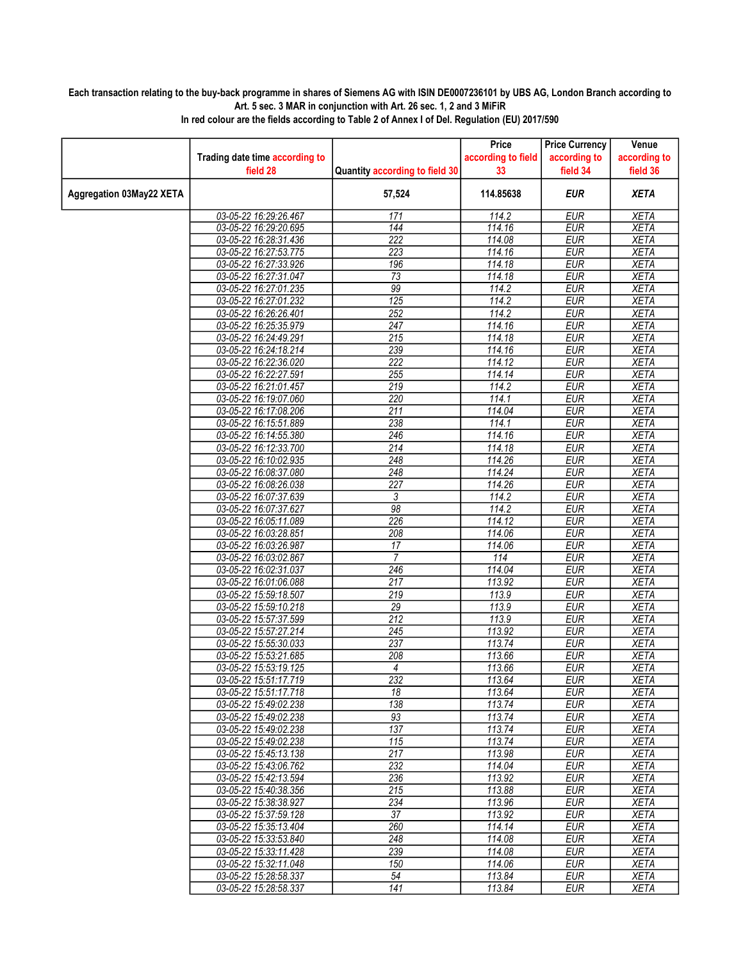## Each transaction relating to the buy-back programme in shares of Siemens AG with ISIN DE0007236101 by UBS AG, London Branch according to Art. 5 sec. 3 MAR in conjunction with Art. 26 sec. 1, 2 and 3 MiFiR

|                          |                                                |                                | Price              | <b>Price Currency</b> | Venue                      |
|--------------------------|------------------------------------------------|--------------------------------|--------------------|-----------------------|----------------------------|
|                          | Trading date time according to                 |                                | according to field | according to          | according to               |
|                          | field 28                                       | Quantity according to field 30 | 33                 | field 34              | field 36                   |
| Aggregation 03May22 XETA |                                                | 57,524                         | 114.85638          | <b>EUR</b>            | <b>XETA</b>                |
|                          | 03-05-22 16:29:26.467                          | 171                            | $\frac{1}{114.2}$  | <b>EUR</b>            | <b>XETA</b>                |
|                          | 03-05-22 16:29:20.695                          | $\overline{144}$               | 114.16             | <b>EUR</b>            | <b>XETA</b>                |
|                          | 03-05-22 16:28:31.436                          | 222                            | 114.08             | <b>EUR</b>            | <b>XETA</b>                |
|                          | 03-05-22 16:27:53.775                          | 223                            | 114.16             | <b>EUR</b>            | <b>XETA</b>                |
|                          | 03-05-22 16:27:33.926                          | 196                            | 114.18             | <b>EUR</b>            | <b>XETA</b>                |
|                          | 03-05-22 16:27:31.047                          | $\overline{73}$                | 114.18             | <b>EUR</b>            | <b>XETA</b>                |
|                          | 03-05-22 16:27:01.235                          | 99                             | 114.2              | <b>EUR</b>            | <b>XETA</b>                |
|                          | 03-05-22 16:27:01.232                          | 125                            | 114.2              | <b>EUR</b>            | <b>XETA</b>                |
|                          | 03-05-22 16:26:26.401                          | $\overline{252}$               | 114.2              | <b>EUR</b>            | <b>XETA</b>                |
|                          | 03-05-22 16:25:35.979                          | 247                            | 114.16             | <b>EUR</b>            | <b>XETA</b>                |
|                          | 03-05-22 16:24:49.291                          | $\overline{215}$               | 114.18             | <b>EUR</b>            | <b>XETA</b>                |
|                          | 03-05-22 16:24:18.214                          | 239                            | 114.16             | <b>EUR</b>            | <b>XETA</b>                |
|                          | 03-05-22 16:22:36.020                          | 222                            | 114.12             | <b>EUR</b>            | <b>XETA</b>                |
|                          | 03-05-22 16:22:27.591                          | 255                            | 114.14             | <b>EUR</b>            | <b>XETA</b>                |
|                          | 03-05-22 16:21:01.457                          | 219                            | 114.2              | <b>EUR</b>            | <b>XETA</b>                |
|                          | 03-05-22 16:19:07.060                          | 220                            | 114.1              | <b>EUR</b>            | <b>XETA</b>                |
|                          | 03-05-22 16:17:08.206                          | 211                            | 114.04             | <b>EUR</b>            | <b>XETA</b>                |
|                          | 03-05-22 16:15:51.889                          | 238                            | 114.1              | <b>EUR</b>            | <b>XETA</b>                |
|                          | 03-05-22 16:14:55.380                          | 246                            | 114.16             | <b>EUR</b>            | <b>XETA</b>                |
|                          | 03-05-22 16:12:33.700                          | $\overline{214}$               | 114.18             | <b>EUR</b>            | <b>XETA</b>                |
|                          | 03-05-22 16:10:02.935                          | 248                            | 114.26             | <b>EUR</b>            | <b>XETA</b>                |
|                          | 03-05-22 16:08:37.080                          | 248                            | 114.24             | <b>EUR</b>            | <b>XETA</b>                |
|                          | 03-05-22 16:08:26.038                          | $\overline{227}$               | 114.26             | <b>EUR</b>            | <b>XETA</b>                |
|                          | 03-05-22 16:07:37.639                          | 3                              | 114.2              | <b>EUR</b>            | <b>XETA</b>                |
|                          | 03-05-22 16:07:37.627                          | 98                             | 114.2              | <b>EUR</b>            | <b>XETA</b>                |
|                          | 03-05-22 16:05:11.089                          | 226                            | 114.12             | <b>EUR</b>            | <b>XETA</b>                |
|                          | 03-05-22 16:03:28.851                          | 208                            | 114.06             | <b>EUR</b>            | <b>XETA</b>                |
|                          | 03-05-22 16:03:26.987                          | 17                             | 114.06             | <b>EUR</b>            | <b>XETA</b>                |
|                          | 03-05-22 16:03:02.867                          | 7                              | 114                | <b>EUR</b>            | <b>XETA</b>                |
|                          | 03-05-22 16:02:31.037                          | 246                            | 114.04             | <b>EUR</b>            | <b>XETA</b>                |
|                          | 03-05-22 16:01:06.088                          | $\overline{217}$               | 113.92             | <b>EUR</b>            | <b>XETA</b>                |
|                          | 03-05-22 15:59:18.507                          | $\overline{219}$               | 113.9              | <b>EUR</b>            | <b>XETA</b>                |
|                          | 03-05-22 15:59:10.218                          | 29                             | 113.9              | <b>EUR</b>            | <b>XETA</b>                |
|                          | 03-05-22 15:57:37.599                          | $\overline{212}$               | 113.9              | <b>EUR</b>            | <b>XETA</b>                |
|                          | 03-05-22 15:57:27.214                          | 245                            | 113.92             | <b>EUR</b>            | <b>XETA</b>                |
|                          | 03-05-22 15:55:30.033                          | 237                            | 113.74             | <b>EUR</b>            | <b>XETA</b>                |
|                          | 03-05-22 15:53:21.685                          | 208                            | 113.66             | <b>EUR</b>            | <b>XETA</b>                |
|                          | 03-05-22 15:53:19.125                          | 4<br>232                       | 113.66             | <b>EUR</b>            | <b>XETA</b>                |
|                          | 03-05-22 15:51:17.719                          |                                | 113.64             | <b>EUR</b>            | <b>XETA</b>                |
|                          | 03-05-22 15:51:17.718                          | 18                             | 113.64<br>113.74   | EUR                   | <b>XETA</b>                |
|                          | 03-05-22 15:49:02.238                          | 138<br>93                      | 113.74             | EUR                   | XETA                       |
|                          | 03-05-22 15:49:02.238<br>03-05-22 15:49:02.238 | $\overline{137}$               |                    | EUR                   | <b>XETA</b>                |
|                          | 03-05-22 15:49:02.238                          |                                | 113.74             | EUR                   | <b>XETA</b>                |
|                          |                                                | 115<br>$\overline{217}$        | 113.74             | <b>EUR</b>            | <b>XETA</b>                |
|                          | 03-05-22 15:45:13.138<br>03-05-22 15:43:06.762 | 232                            | 113.98<br>114.04   | EUR                   | <b>XETA</b>                |
|                          | 03-05-22 15:42:13.594                          | 236                            | 113.92             | <b>EUR</b><br>EUR     | <b>XETA</b><br><b>XETA</b> |
|                          | 03-05-22 15:40:38.356                          | $\overline{215}$               | 113.88             | <b>EUR</b>            | <b>XETA</b>                |
|                          | 03-05-22 15:38:38.927                          | 234                            | 113.96             | <b>EUR</b>            | <b>XETA</b>                |
|                          | 03-05-22 15:37:59.128                          | 37                             | 113.92             | EUR                   | <b>XETA</b>                |
|                          | 03-05-22 15:35:13.404                          | 260                            | 114.14             | <b>EUR</b>            | <b>XETA</b>                |
|                          | 03-05-22 15:33:53.840                          | 248                            | 114.08             | EUR                   | <b>XETA</b>                |
|                          | 03-05-22 15:33:11.428                          | 239                            | 114.08             | EUR                   | <b>XETA</b>                |
|                          | 03-05-22 15:32:11.048                          | 150                            | 114.06             | EUR                   | <b>XETA</b>                |
|                          | 03-05-22 15:28:58.337                          | 54                             | 113.84             | EUR                   | <b>XETA</b>                |
|                          | 03-05-22 15:28:58.337                          | 141                            | 113.84             | EUR                   | XETA                       |
|                          |                                                |                                |                    |                       |                            |

In red colour are the fields according to Table 2 of Annex I of Del. Regulation (EU) 2017/590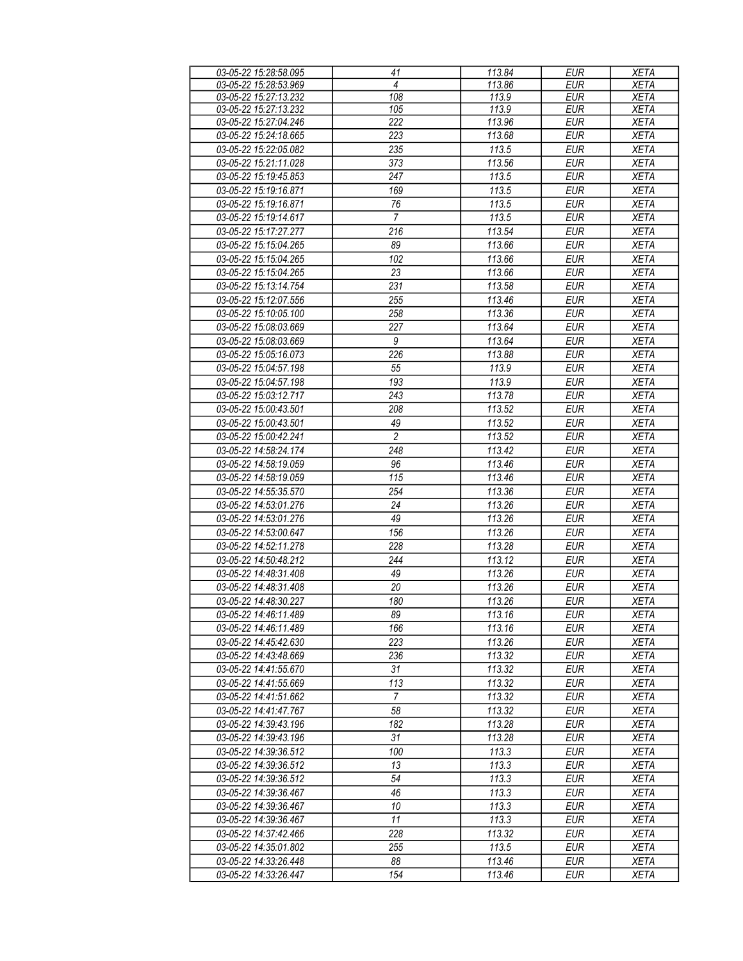| 03-05-22 15:28:58.095 | 41             | 113.84 | <b>EUR</b> | <b>XETA</b> |
|-----------------------|----------------|--------|------------|-------------|
| 03-05-22 15:28:53.969 | $\overline{4}$ | 113.86 | <b>EUR</b> | <b>XETA</b> |
| 03-05-22 15:27:13.232 | 108            | 113.9  | EUR        | <b>XETA</b> |
| 03-05-22 15:27:13.232 | 105            | 113.9  | <b>EUR</b> | <b>XETA</b> |
| 03-05-22 15:27:04.246 | 222            | 113.96 | EUR        | <b>XETA</b> |
| 03-05-22 15:24:18.665 | 223            | 113.68 | <b>EUR</b> | <b>XETA</b> |
| 03-05-22 15:22:05.082 | 235            | 113.5  | <b>EUR</b> | <b>XETA</b> |
| 03-05-22 15:21:11.028 | 373            | 113.56 | <b>EUR</b> | <b>XETA</b> |
| 03-05-22 15:19:45.853 | 247            | 113.5  | EUR        | <b>XETA</b> |
| 03-05-22 15:19:16.871 | 169            | 113.5  | <b>EUR</b> | <b>XETA</b> |
| 03-05-22 15:19:16.871 | 76             | 113.5  | <b>EUR</b> | <b>XETA</b> |
| 03-05-22 15:19:14.617 | $\overline{7}$ | 113.5  | <b>EUR</b> | <b>XETA</b> |
| 03-05-22 15:17:27.277 | 216            | 113.54 | <b>EUR</b> | <b>XETA</b> |
| 03-05-22 15:15:04.265 | 89             | 113.66 | <b>EUR</b> | <b>XETA</b> |
| 03-05-22 15:15:04.265 | 102            | 113.66 | <b>EUR</b> | <b>XETA</b> |
| 03-05-22 15:15:04.265 | 23             | 113.66 | <b>EUR</b> | <b>XETA</b> |
| 03-05-22 15:13:14.754 | 231            | 113.58 | <b>EUR</b> | <b>XETA</b> |
| 03-05-22 15:12:07.556 |                |        |            |             |
|                       | 255            | 113.46 | <b>EUR</b> | <b>XETA</b> |
| 03-05-22 15:10:05.100 | 258            | 113.36 | <b>EUR</b> | <b>XETA</b> |
| 03-05-22 15:08:03.669 | 227            | 113.64 | <b>EUR</b> | <b>XETA</b> |
| 03-05-22 15:08:03.669 | 9              | 113.64 | <b>EUR</b> | <b>XETA</b> |
| 03-05-22 15:05:16.073 | 226            | 113.88 | <b>EUR</b> | <b>XETA</b> |
| 03-05-22 15:04:57.198 | 55             | 113.9  | <b>EUR</b> | <b>XETA</b> |
| 03-05-22 15:04:57.198 | 193            | 113.9  | <b>EUR</b> | <b>XETA</b> |
| 03-05-22 15:03:12.717 | 243            | 113.78 | <b>EUR</b> | <b>XETA</b> |
| 03-05-22 15:00:43.501 | 208            | 113.52 | <b>EUR</b> | <b>XETA</b> |
| 03-05-22 15:00:43.501 | 49             | 113.52 | <b>EUR</b> | <b>XETA</b> |
| 03-05-22 15:00:42.241 | $\overline{2}$ | 113.52 | <b>EUR</b> | <b>XETA</b> |
| 03-05-22 14:58:24.174 | 248            | 113.42 | <b>EUR</b> | <b>XETA</b> |
| 03-05-22 14:58:19.059 | 96             | 113.46 | <b>EUR</b> | <b>XETA</b> |
| 03-05-22 14:58:19.059 | 115            | 113.46 | <b>EUR</b> | <b>XETA</b> |
| 03-05-22 14:55:35.570 | 254            | 113.36 | <b>EUR</b> | <b>XETA</b> |
| 03-05-22 14:53:01.276 | 24             | 113.26 | <b>EUR</b> | <b>XETA</b> |
| 03-05-22 14:53:01.276 | 49             | 113.26 | EUR        | <b>XETA</b> |
| 03-05-22 14:53:00.647 | 156            | 113.26 | <b>EUR</b> | <b>XETA</b> |
| 03-05-22 14:52:11.278 | 228            | 113.28 | <b>EUR</b> | <b>XETA</b> |
| 03-05-22 14:50:48.212 | 244            | 113.12 | <b>EUR</b> | <b>XETA</b> |
| 03-05-22 14:48:31.408 | 49             | 113.26 | <b>EUR</b> | <b>XETA</b> |
| 03-05-22 14:48:31.408 | 20             | 113.26 | <b>EUR</b> | <b>XETA</b> |
| 03-05-22 14:48:30.227 | 180            | 113.26 | <b>EUR</b> | <b>XETA</b> |
| 03-05-22 14:46:11.489 | 89             | 113.16 | EUR        | XETA        |
| 03-05-22 14:46:11.489 | 166            | 113.16 | EUR        | <b>XETA</b> |
| 03-05-22 14:45:42.630 | 223            | 113.26 | EUR        | <b>XETA</b> |
| 03-05-22 14:43:48.669 | 236            | 113.32 | <b>EUR</b> | <b>XETA</b> |
| 03-05-22 14:41:55.670 | 31             | 113.32 | <b>EUR</b> | <b>XETA</b> |
| 03-05-22 14:41:55.669 | 113            | 113.32 | <b>EUR</b> | <b>XETA</b> |
| 03-05-22 14:41:51.662 | $\overline{7}$ | 113.32 | <b>EUR</b> | <b>XETA</b> |
| 03-05-22 14:41:47.767 | 58             | 113.32 | <b>EUR</b> | <b>XETA</b> |
| 03-05-22 14:39:43.196 | 182            | 113.28 | <b>EUR</b> | <b>XETA</b> |
| 03-05-22 14:39:43.196 | 31             | 113.28 | <b>EUR</b> | <b>XETA</b> |
| 03-05-22 14:39:36.512 | 100            | 113.3  | <b>EUR</b> | <b>XETA</b> |
| 03-05-22 14:39:36.512 | 13             | 113.3  | <b>EUR</b> | <b>XETA</b> |
| 03-05-22 14:39:36.512 | 54             | 113.3  | <b>EUR</b> | <b>XETA</b> |
| 03-05-22 14:39:36.467 | 46             | 113.3  | <b>EUR</b> | <b>XETA</b> |
|                       | 10             |        |            |             |
| 03-05-22 14:39:36.467 |                | 113.3  | <b>EUR</b> | XETA        |
| 03-05-22 14:39:36.467 | 11             | 113.3  | <b>EUR</b> | XETA        |
| 03-05-22 14:37:42.466 | 228            | 113.32 | <b>EUR</b> | <b>XETA</b> |
| 03-05-22 14:35:01.802 | 255            | 113.5  | <b>EUR</b> | <b>XETA</b> |
| 03-05-22 14:33:26.448 | 88             | 113.46 | EUR        | XETA        |
| 03-05-22 14:33:26.447 | 154            | 113.46 | EUR        | XETA        |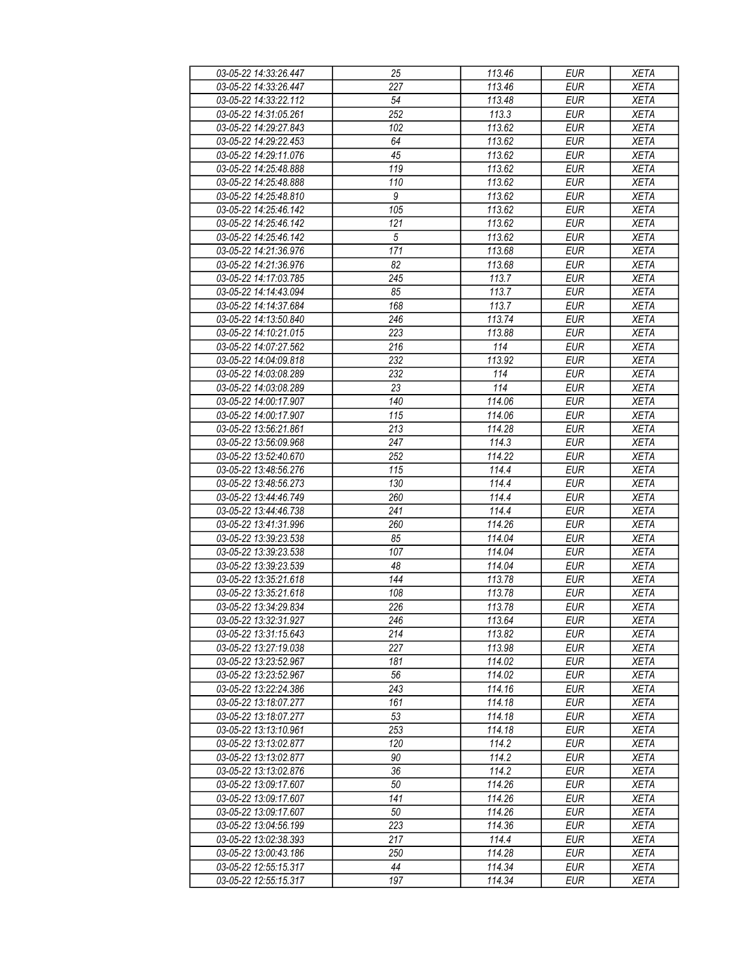| 03-05-22 14:33:26.447 | 25               | 113.46              | EUR        | <b>XETA</b> |
|-----------------------|------------------|---------------------|------------|-------------|
| 03-05-22 14:33:26.447 | 227              | 113.46              | <b>EUR</b> | <b>XETA</b> |
| 03-05-22 14:33:22.112 | 54               | 113.48              | <b>EUR</b> | <b>XETA</b> |
|                       |                  |                     |            |             |
| 03-05-22 14:31:05.261 | $\overline{252}$ | 113.3               | <b>EUR</b> | <b>XETA</b> |
| 03-05-22 14:29:27.843 | 102              | 113.62              | <b>EUR</b> | <b>XETA</b> |
| 03-05-22 14:29:22.453 | 64               | 113.62              | <b>EUR</b> | <b>XETA</b> |
| 03-05-22 14:29:11.076 | 45               | 113.62              | <b>EUR</b> | <b>XETA</b> |
| 03-05-22 14:25:48.888 | 119              | 113.62              | <b>EUR</b> | <b>XETA</b> |
| 03-05-22 14:25:48.888 | 110              | 113.62              | <b>EUR</b> | <b>XETA</b> |
| 03-05-22 14:25:48.810 | 9                | 113.62              | <b>EUR</b> | <b>XETA</b> |
| 03-05-22 14:25:46.142 | 105              | 113.62              | <b>EUR</b> | <b>XETA</b> |
| 03-05-22 14:25:46.142 | 121              | 113.62              | <b>EUR</b> | <b>XETA</b> |
|                       | $\sqrt{5}$       |                     |            |             |
| 03-05-22 14:25:46.142 |                  | 113.62              | <b>EUR</b> | <b>XETA</b> |
| 03-05-22 14:21:36.976 | 171              | 113.68              | <b>EUR</b> | <b>XETA</b> |
| 03-05-22 14:21:36.976 | 82               | 113.68              | <b>EUR</b> | <b>XETA</b> |
| 03-05-22 14:17:03.785 | 245              | 113.7               | <b>EUR</b> | <b>XETA</b> |
| 03-05-22 14:14:43.094 | 85               | 113.7               | <b>EUR</b> | <b>XETA</b> |
| 03-05-22 14:14:37.684 | 168              | 113.7               | <b>EUR</b> | <b>XETA</b> |
| 03-05-22 14:13:50.840 | 246              | 113.74              | <b>EUR</b> | <b>XETA</b> |
| 03-05-22 14:10:21.015 | 223              | 113.88              | <b>EUR</b> | <b>XETA</b> |
| 03-05-22 14:07:27.562 | 216              | 114                 | <b>EUR</b> | <b>XETA</b> |
| 03-05-22 14:04:09.818 | 232              | 113.92              | <b>EUR</b> |             |
|                       |                  |                     |            | <b>XETA</b> |
| 03-05-22 14:03:08.289 | 232              | 114                 | <b>EUR</b> | <b>XETA</b> |
| 03-05-22 14:03:08.289 | 23               | 114                 | <b>EUR</b> | <b>XETA</b> |
| 03-05-22 14:00:17.907 | 140              | 114.06              | <b>EUR</b> | <b>XETA</b> |
| 03-05-22 14:00:17.907 | 115              | 114.06              | <b>EUR</b> | <b>XETA</b> |
| 03-05-22 13:56:21.861 | 213              | 114.28              | <b>EUR</b> | <b>XETA</b> |
| 03-05-22 13:56:09.968 | 247              | 114.3               | <b>EUR</b> | <b>XETA</b> |
| 03-05-22 13:52:40.670 | 252              | 114.22              | <b>EUR</b> | <b>XETA</b> |
| 03-05-22 13:48:56.276 | 115              | 114.4               | <b>EUR</b> | <b>XETA</b> |
| 03-05-22 13:48:56.273 | 130              | 114.4               | <b>EUR</b> | <b>XETA</b> |
| 03-05-22 13:44:46.749 | 260              | 114.4               | <b>EUR</b> | <b>XETA</b> |
|                       |                  |                     |            |             |
| 03-05-22 13:44:46.738 | 241              | 114.4               | <b>EUR</b> | <b>XETA</b> |
| 03-05-22 13:41:31.996 | 260              | 114.26              | <b>EUR</b> | <b>XETA</b> |
| 03-05-22 13:39:23.538 | 85               | 114.04              | <b>EUR</b> | <b>XETA</b> |
| 03-05-22 13:39:23.538 | 107              | 114.04              | <b>EUR</b> | <b>XETA</b> |
| 03-05-22 13:39:23.539 | 48               | 114.04              | <b>EUR</b> | <b>XETA</b> |
| 03-05-22 13:35:21.618 | 144              | 113.78              | <b>EUR</b> | <b>XETA</b> |
| 03-05-22 13:35:21.618 | 108              | 113.78              | <b>EUR</b> | <b>XETA</b> |
| 03-05-22 13:34:29.834 | 226              | $\overline{113.78}$ | <b>EUR</b> | <b>XETA</b> |
| 03-05-22 13:32:31.927 | 246              | 113.64              | <b>EUR</b> | <b>XETA</b> |
| 03-05-22 13:31:15.643 | 214              | 113.82              | EUR        | XETA        |
|                       | 227              | 113.98              | <b>EUR</b> |             |
| 03-05-22 13:27:19.038 |                  |                     |            | <b>XETA</b> |
| 03-05-22 13:23:52.967 | 181              | 114.02              | <b>EUR</b> | <b>XETA</b> |
| 03-05-22 13:23:52.967 | 56               | 114.02              | <b>EUR</b> | <b>XETA</b> |
| 03-05-22 13:22:24.386 | 243              | 114.16              | <b>EUR</b> | <b>XETA</b> |
| 03-05-22 13:18:07.277 | 161              | 114.18              | <b>EUR</b> | <b>XETA</b> |
| 03-05-22 13:18:07.277 | 53               | 114.18              | <b>EUR</b> | <b>XETA</b> |
| 03-05-22 13:13:10.961 | 253              | 114.18              | <b>EUR</b> | <b>XETA</b> |
| 03-05-22 13:13:02.877 | 120              | 114.2               | EUR        | <b>XETA</b> |
| 03-05-22 13:13:02.877 | 90               | 114.2               | <b>EUR</b> | <b>XETA</b> |
| 03-05-22 13:13:02.876 | $36\,$           | 114.2               | <b>EUR</b> | <b>XETA</b> |
| 03-05-22 13:09:17.607 | 50               | 114.26              | <b>EUR</b> | <b>XETA</b> |
|                       | 141              | 114.26              | EUR        |             |
| 03-05-22 13:09:17.607 |                  |                     |            | <b>XETA</b> |
| 03-05-22 13:09:17.607 | 50               | 114.26              | <b>EUR</b> | <b>XETA</b> |
| 03-05-22 13:04:56.199 | 223              | 114.36              | <b>EUR</b> | <b>XETA</b> |
| 03-05-22 13:02:38.393 | 217              | 114.4               | <b>EUR</b> | <b>XETA</b> |
| 03-05-22 13:00:43.186 | 250              | 114.28              | <b>EUR</b> | XETA        |
| 03-05-22 12:55:15.317 | 44               | 114.34              | EUR        | XETA        |
| 03-05-22 12:55:15.317 | 197              | 114.34              | EUR        | XETA        |
|                       |                  |                     |            |             |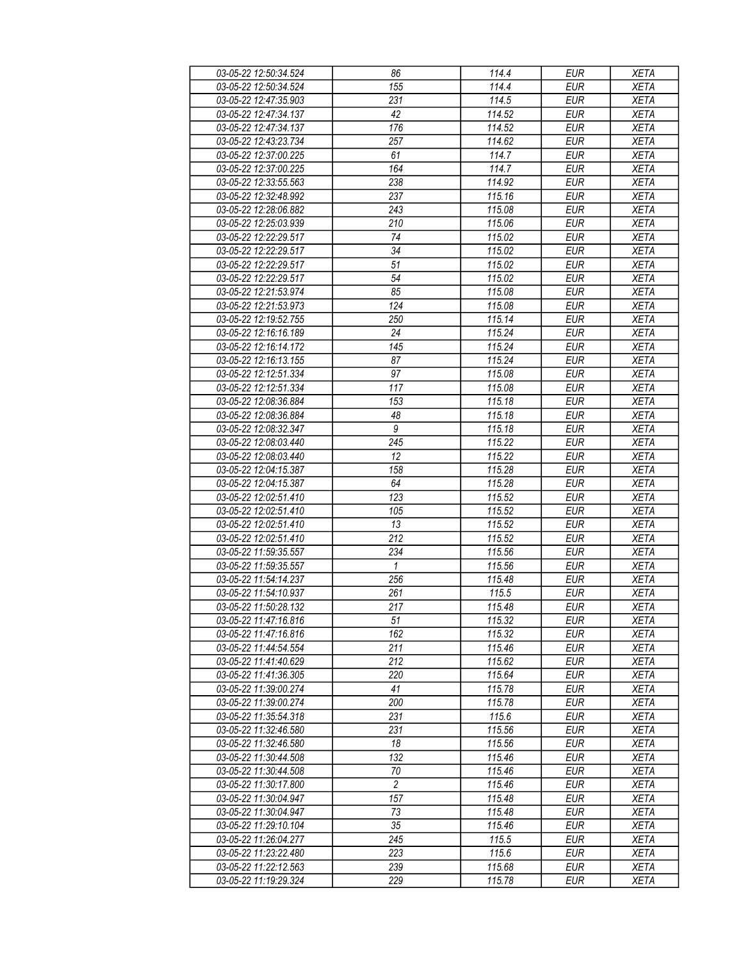| 03-05-22 12:50:34.524 | 86               | 114.4               | <b>EUR</b> | <b>XETA</b> |
|-----------------------|------------------|---------------------|------------|-------------|
| 03-05-22 12:50:34.524 | 155              | 114.4               | <b>EUR</b> | <b>XETA</b> |
| 03-05-22 12:47:35.903 | 231              | 114.5               | <b>EUR</b> | <b>XETA</b> |
| 03-05-22 12:47:34.137 | 42               | 114.52              | <b>EUR</b> | <b>XETA</b> |
| 03-05-22 12:47:34.137 | 176              | 114.52              | <b>EUR</b> | <b>XETA</b> |
| 03-05-22 12:43:23.734 | 257              | 114.62              | <b>EUR</b> | <b>XETA</b> |
|                       |                  |                     |            |             |
| 03-05-22 12:37:00.225 | 61               | 114.7               | <b>EUR</b> | <b>XETA</b> |
| 03-05-22 12:37:00.225 | 164              | 114.7               | <b>EUR</b> | <b>XETA</b> |
| 03-05-22 12:33:55.563 | 238              | 114.92              | <b>EUR</b> | <b>XETA</b> |
| 03-05-22 12:32:48.992 | 237              | 115.16              | <b>EUR</b> | <b>XETA</b> |
| 03-05-22 12:28:06.882 | 243              | 115.08              | <b>EUR</b> | <b>XETA</b> |
| 03-05-22 12:25:03.939 | 210              | 115.06              | <b>EUR</b> | <b>XETA</b> |
| 03-05-22 12:22:29.517 | 74               | 115.02              | <b>EUR</b> | <b>XETA</b> |
| 03-05-22 12:22:29.517 | 34               | 115.02              | <b>EUR</b> | <b>XETA</b> |
| 03-05-22 12:22:29.517 | 51               | 115.02              | <b>EUR</b> | <b>XETA</b> |
| 03-05-22 12:22:29.517 | 54               | 115.02              | <b>EUR</b> | <b>XETA</b> |
| 03-05-22 12:21:53.974 | 85               | 115.08              | <b>EUR</b> | <b>XETA</b> |
| 03-05-22 12:21:53.973 | 124              | 115.08              | <b>EUR</b> | <b>XETA</b> |
| 03-05-22 12:19:52.755 | 250              | $\overline{1}15.14$ | <b>EUR</b> | <b>XETA</b> |
| 03-05-22 12:16:16.189 | 24               | 115.24              | <b>EUR</b> | <b>XETA</b> |
| 03-05-22 12:16:14.172 | 145              | 115.24              | <b>EUR</b> | <b>XETA</b> |
| 03-05-22 12:16:13.155 |                  | 115.24              | <b>EUR</b> |             |
|                       | 87               |                     |            | <b>XETA</b> |
| 03-05-22 12:12:51.334 | 97               | 115.08              | <b>EUR</b> | <b>XETA</b> |
| 03-05-22 12:12:51.334 | 117              | 115.08              | <b>EUR</b> | <b>XETA</b> |
| 03-05-22 12:08:36.884 | 153              | 115.18              | <b>EUR</b> | <b>XETA</b> |
| 03-05-22 12:08:36.884 | 48               | 115.18              | <b>EUR</b> | <b>XETA</b> |
| 03-05-22 12:08:32.347 | $\boldsymbol{9}$ | 115.18              | <b>EUR</b> | <b>XETA</b> |
| 03-05-22 12:08:03.440 | 245              | 115.22              | <b>EUR</b> | <b>XETA</b> |
| 03-05-22 12:08:03.440 | 12               | 115.22              | <b>EUR</b> | <b>XETA</b> |
| 03-05-22 12:04:15.387 | 158              | 115.28              | <b>EUR</b> | <b>XETA</b> |
| 03-05-22 12:04:15.387 | 64               | 115.28              | <b>EUR</b> | <b>XETA</b> |
| 03-05-22 12:02:51.410 | 123              | 115.52              | <b>EUR</b> | <b>XETA</b> |
| 03-05-22 12:02:51.410 | 105              | 115.52              | <b>EUR</b> | <b>XETA</b> |
| 03-05-22 12:02:51.410 | 13               | 115.52              | <b>EUR</b> | <b>XETA</b> |
| 03-05-22 12:02:51.410 | 212              | 115.52              | <b>EUR</b> | <b>XETA</b> |
| 03-05-22 11:59:35.557 | 234              | 115.56              | <b>EUR</b> | <b>XETA</b> |
| 03-05-22 11:59:35.557 | $\mathbf{1}$     | 115.56              | <b>EUR</b> | <b>XETA</b> |
| 03-05-22 11:54:14.237 | 256              | 115.48              | <b>EUR</b> | <b>XETA</b> |
| 03-05-22 11:54:10.937 | 261              | 115.5               | <b>EUR</b> | <b>XETA</b> |
| 03-05-22 11:50:28.132 | 217              | 115.48              | <b>EUR</b> | <b>XETA</b> |
| 03-05-22 11:47:16.816 | 51               | 115.32              | EUR        | <b>XETA</b> |
| 03-05-22 11:47:16.816 |                  |                     |            |             |
|                       | 162              | 115.32              | EUR        | XETA        |
| 03-05-22 11:44:54.554 | 211              | 115.46              | <b>EUR</b> | <b>XETA</b> |
| 03-05-22 11:41:40.629 | 212              | 115.62              | EUR        | <b>XETA</b> |
| 03-05-22 11:41:36.305 | 220              | 115.64              | <b>EUR</b> | <b>XETA</b> |
| 03-05-22 11:39:00.274 | 41               | 115.78              | <b>EUR</b> | <b>XETA</b> |
| 03-05-22 11:39:00.274 | 200              | 115.78              | <b>EUR</b> | <b>XETA</b> |
| 03-05-22 11:35:54.318 | 231              | 115.6               | <b>EUR</b> | <b>XETA</b> |
| 03-05-22 11:32:46.580 | 231              | 115.56              | <b>EUR</b> | <b>XETA</b> |
| 03-05-22 11:32:46.580 | 18               | 115.56              | EUR        | <b>XETA</b> |
| 03-05-22 11:30:44.508 | 132              | 115.46              | <b>EUR</b> | <b>XETA</b> |
| 03-05-22 11:30:44.508 | 70               | 115.46              | <b>EUR</b> | <b>XETA</b> |
| 03-05-22 11:30:17.800 | $\overline{2}$   | 115.46              | <b>EUR</b> | <b>XETA</b> |
| 03-05-22 11:30:04.947 | 157              | 115.48              | EUR        | <b>XETA</b> |
| 03-05-22 11:30:04.947 | 73               | 115.48              | <b>EUR</b> | <b>XETA</b> |
| 03-05-22 11:29:10.104 | $35\,$           | 115.46              | <b>EUR</b> | <b>XETA</b> |
| 03-05-22 11:26:04.277 | 245              | 115.5               | <b>EUR</b> | <b>XETA</b> |
| 03-05-22 11:23:22.480 | 223              | 115.6               | <b>EUR</b> | XETA        |
| 03-05-22 11:22:12.563 | 239              | 115.68              | EUR        | XETA        |
| 03-05-22 11:19:29.324 | 229              | 115.78              | EUR        | XETA        |
|                       |                  |                     |            |             |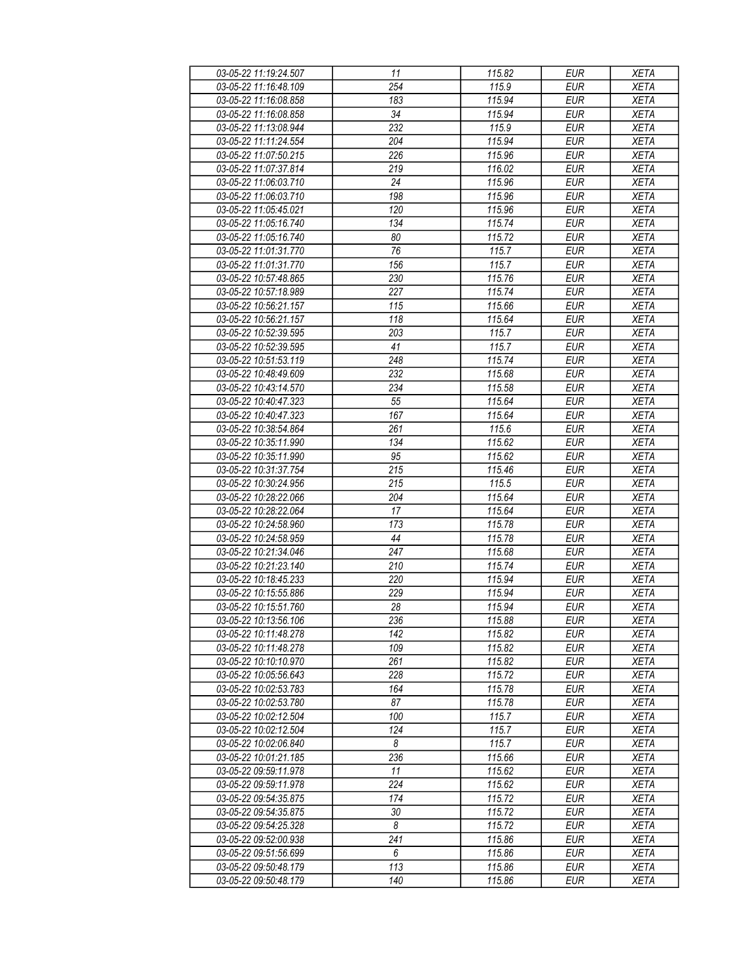| 03-05-22 11:19:24.507 | 11               | 115.82 | <b>EUR</b> | <b>XETA</b> |
|-----------------------|------------------|--------|------------|-------------|
| 03-05-22 11:16:48.109 | 254              | 115.9  | <b>EUR</b> | <b>XETA</b> |
| 03-05-22 11:16:08.858 | 183              | 115.94 | <b>EUR</b> | <b>XETA</b> |
| 03-05-22 11:16:08.858 | 34               | 115.94 | <b>EUR</b> | <b>XETA</b> |
| 03-05-22 11:13:08.944 | 232              | 115.9  | <b>EUR</b> | <b>XETA</b> |
| 03-05-22 11:11:24.554 | 204              | 115.94 | <b>EUR</b> | <b>XETA</b> |
|                       | 226              |        | <b>EUR</b> |             |
| 03-05-22 11:07:50.215 |                  | 115.96 |            | <b>XETA</b> |
| 03-05-22 11:07:37.814 | 219              | 116.02 | <b>EUR</b> | <b>XETA</b> |
| 03-05-22 11:06:03.710 | 24               | 115.96 | <b>EUR</b> | <b>XETA</b> |
| 03-05-22 11:06:03.710 | 198              | 115.96 | <b>EUR</b> | <b>XETA</b> |
| 03-05-22 11:05:45.021 | 120              | 115.96 | <b>EUR</b> | <b>XETA</b> |
| 03-05-22 11:05:16.740 | 134              | 115.74 | <b>EUR</b> | <b>XETA</b> |
| 03-05-22 11:05:16.740 | 80               | 115.72 | <b>EUR</b> | <b>XETA</b> |
| 03-05-22 11:01:31.770 | 76               | 115.7  | <b>EUR</b> | <b>XETA</b> |
| 03-05-22 11:01:31.770 | 156              | 115.7  | <b>EUR</b> | <b>XETA</b> |
| 03-05-22 10:57:48.865 | 230              | 115.76 | <b>EUR</b> | <b>XETA</b> |
| 03-05-22 10:57:18.989 | 227              | 115.74 | <b>EUR</b> | <b>XETA</b> |
| 03-05-22 10:56:21.157 | 115              | 115.66 | <b>EUR</b> | <b>XETA</b> |
| 03-05-22 10:56:21.157 | $\overline{118}$ | 115.64 | <b>EUR</b> | <b>XETA</b> |
| 03-05-22 10:52:39.595 | 203              | 115.7  | <b>EUR</b> | <b>XETA</b> |
| 03-05-22 10:52:39.595 | 41               | 115.7  | <b>EUR</b> | <b>XETA</b> |
| 03-05-22 10:51:53.119 | 248              | 115.74 | <b>EUR</b> | <b>XETA</b> |
| 03-05-22 10:48:49.609 | 232              | 115.68 | <b>EUR</b> | <b>XETA</b> |
| 03-05-22 10:43:14.570 | 234              | 115.58 | <b>EUR</b> | <b>XETA</b> |
|                       |                  |        |            |             |
| 03-05-22 10:40:47.323 | 55               | 115.64 | <b>EUR</b> | <b>XETA</b> |
| 03-05-22 10:40:47.323 | 167              | 115.64 | <b>EUR</b> | <b>XETA</b> |
| 03-05-22 10:38:54.864 | 261              | 115.6  | <b>EUR</b> | <b>XETA</b> |
| 03-05-22 10:35:11.990 | 134              | 115.62 | <b>EUR</b> | <b>XETA</b> |
| 03-05-22 10:35:11.990 | 95               | 115.62 | <b>EUR</b> | <b>XETA</b> |
| 03-05-22 10:31:37.754 | $\overline{215}$ | 115.46 | <b>EUR</b> | <b>XETA</b> |
| 03-05-22 10:30:24.956 | 215              | 115.5  | <b>EUR</b> | <b>XETA</b> |
| 03-05-22 10:28:22.066 | 204              | 115.64 | <b>EUR</b> | <b>XETA</b> |
| 03-05-22 10:28:22.064 | 17               | 115.64 | <b>EUR</b> | <b>XETA</b> |
| 03-05-22 10:24:58.960 | 173              | 115.78 | <b>EUR</b> | <b>XETA</b> |
| 03-05-22 10:24:58.959 | 44               | 115.78 | <b>EUR</b> | <b>XETA</b> |
| 03-05-22 10:21:34.046 | 247              | 115.68 | <b>EUR</b> | <b>XETA</b> |
| 03-05-22 10:21:23.140 | 210              | 115.74 | <b>EUR</b> | <b>XETA</b> |
| 03-05-22 10:18:45.233 | 220              | 115.94 | <b>EUR</b> | <b>XETA</b> |
| 03-05-22 10:15:55.886 | 229              | 115.94 | <b>EUR</b> | <b>XETA</b> |
| 03-05-22 10:15:51.760 | 28               | 115.94 | <b>EUR</b> | <b>XETA</b> |
| 03-05-22 10:13:56.106 | 236              | 115.88 | EUR        | XETA        |
| 03-05-22 10:11:48.278 | 142              | 115.82 | <b>EUR</b> | <b>XETA</b> |
| 03-05-22 10:11:48.278 | 109              | 115.82 | <b>EUR</b> | <b>XETA</b> |
| 03-05-22 10:10:10.970 | 261              | 115.82 | <b>EUR</b> | <b>XETA</b> |
| 03-05-22 10:05:56.643 | 228              | 115.72 | <b>EUR</b> |             |
|                       |                  |        |            | <b>XETA</b> |
| 03-05-22 10:02:53.783 | 164              | 115.78 | <b>EUR</b> | <b>XETA</b> |
| 03-05-22 10:02:53.780 | 87               | 115.78 | <b>EUR</b> | <b>XETA</b> |
| 03-05-22 10:02:12.504 | 100              | 115.7  | <b>EUR</b> | <b>XETA</b> |
| 03-05-22 10:02:12.504 | 124              | 115.7  | <b>EUR</b> | <b>XETA</b> |
| 03-05-22 10:02:06.840 | 8                | 115.7  | EUR        | <b>XETA</b> |
| 03-05-22 10:01:21.185 | 236              | 115.66 | <b>EUR</b> | <b>XETA</b> |
| 03-05-22 09:59:11.978 | 11               | 115.62 | <b>EUR</b> | <b>XETA</b> |
| 03-05-22 09:59:11.978 | 224              | 115.62 | <b>EUR</b> | <b>XETA</b> |
| 03-05-22 09:54:35.875 | 174              | 115.72 | EUR        | <b>XETA</b> |
| 03-05-22 09:54:35.875 | 30               | 115.72 | <b>EUR</b> | <b>XETA</b> |
| 03-05-22 09:54:25.328 | 8                | 115.72 | <b>EUR</b> | <b>XETA</b> |
| 03-05-22 09:52:00.938 | 241              | 115.86 | <b>EUR</b> | <b>XETA</b> |
| 03-05-22 09:51:56.699 | 6                | 115.86 | EUR        | XETA        |
| 03-05-22 09:50:48.179 | 113              | 115.86 | EUR        | <b>XETA</b> |
|                       | 140              |        |            |             |
| 03-05-22 09:50:48.179 |                  | 115.86 | EUR        | <b>XETA</b> |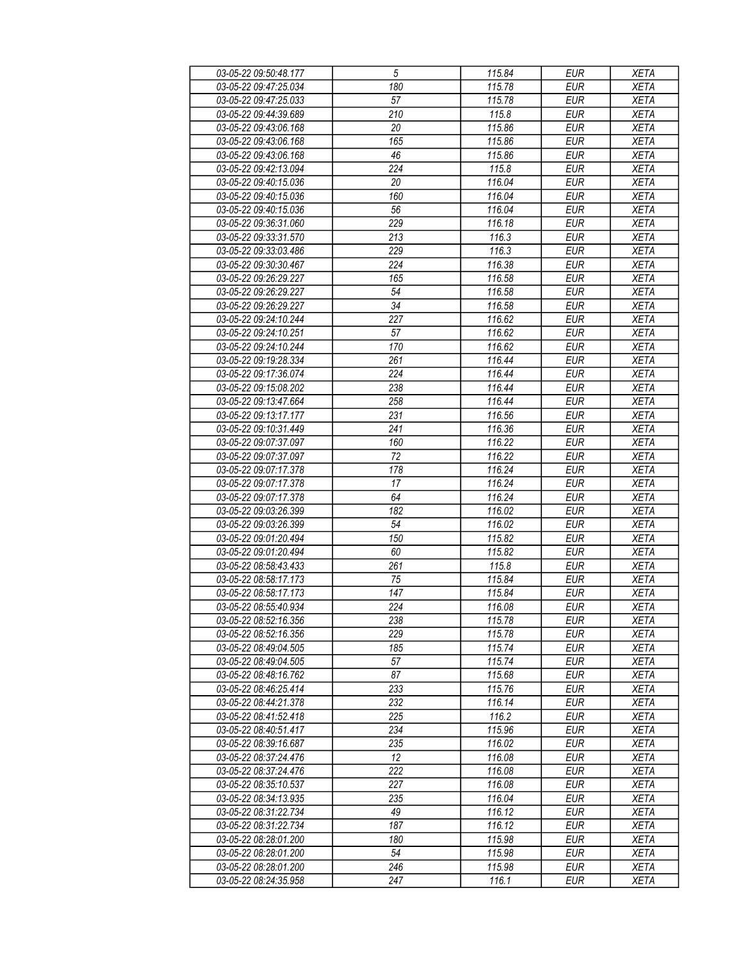| 03-05-22 09:50:48.177 | $\sqrt{5}$      | 115.84 | <b>EUR</b> | <b>XETA</b> |
|-----------------------|-----------------|--------|------------|-------------|
| 03-05-22 09:47:25.034 | 180             | 115.78 | <b>EUR</b> | <b>XETA</b> |
| 03-05-22 09:47:25.033 | 57              | 115.78 | <b>EUR</b> | <b>XETA</b> |
| 03-05-22 09:44:39.689 | 210             | 115.8  | <b>EUR</b> | <b>XETA</b> |
| 03-05-22 09:43:06.168 | 20              | 115.86 | <b>EUR</b> | <b>XETA</b> |
| 03-05-22 09:43:06.168 | 165             | 115.86 | <b>EUR</b> | <b>XETA</b> |
| 03-05-22 09:43:06.168 |                 |        | <b>EUR</b> |             |
|                       | 46              | 115.86 |            | <b>XETA</b> |
| 03-05-22 09:42:13.094 | 224             | 115.8  | <b>EUR</b> | <b>XETA</b> |
| 03-05-22 09:40:15.036 | 20              | 116.04 | <b>EUR</b> | <b>XETA</b> |
| 03-05-22 09:40:15.036 | 160             | 116.04 | <b>EUR</b> | <b>XETA</b> |
| 03-05-22 09:40:15.036 | 56              | 116.04 | <b>EUR</b> | <b>XETA</b> |
| 03-05-22 09:36:31.060 | 229             | 116.18 | <b>EUR</b> | <b>XETA</b> |
| 03-05-22 09:33:31.570 | 213             | 116.3  | <b>EUR</b> | <b>XETA</b> |
| 03-05-22 09:33:03.486 | 229             | 116.3  | <b>EUR</b> | <b>XETA</b> |
| 03-05-22 09:30:30.467 | 224             | 116.38 | <b>EUR</b> | <b>XETA</b> |
| 03-05-22 09:26:29.227 | 165             | 116.58 | <b>EUR</b> | <b>XETA</b> |
| 03-05-22 09:26:29.227 | 54              | 116.58 | <b>EUR</b> | <b>XETA</b> |
| 03-05-22 09:26:29.227 | $\overline{34}$ | 116.58 | <b>EUR</b> | <b>XETA</b> |
| 03-05-22 09:24:10.244 | 227             | 116.62 | <b>EUR</b> | <b>XETA</b> |
| 03-05-22 09:24:10.251 | 57              | 116.62 | <b>EUR</b> | <b>XETA</b> |
| 03-05-22 09:24:10.244 | 170             | 116.62 | <b>EUR</b> | <b>XETA</b> |
| 03-05-22 09:19:28.334 | 261             | 116.44 | <b>EUR</b> | <b>XETA</b> |
|                       | 224             |        |            | <b>XETA</b> |
| 03-05-22 09:17:36.074 |                 | 116.44 | <b>EUR</b> |             |
| 03-05-22 09:15:08.202 | 238             | 116.44 | <b>EUR</b> | <b>XETA</b> |
| 03-05-22 09:13:47.664 | 258             | 116.44 | <b>EUR</b> | <b>XETA</b> |
| 03-05-22 09:13:17.177 | 231             | 116.56 | <b>EUR</b> | <b>XETA</b> |
| 03-05-22 09:10:31.449 | 241             | 116.36 | <b>EUR</b> | <b>XETA</b> |
| 03-05-22 09:07:37.097 | 160             | 116.22 | <b>EUR</b> | <b>XETA</b> |
| 03-05-22 09:07:37.097 | 72              | 116.22 | <b>EUR</b> | <b>XETA</b> |
| 03-05-22 09:07:17.378 | 178             | 116.24 | <b>EUR</b> | <b>XETA</b> |
| 03-05-22 09:07:17.378 | 17              | 116.24 | <b>EUR</b> | <b>XETA</b> |
| 03-05-22 09:07:17.378 | 64              | 116.24 | <b>EUR</b> | <b>XETA</b> |
| 03-05-22 09:03:26.399 | 182             | 116.02 | <b>EUR</b> | <b>XETA</b> |
| 03-05-22 09:03:26.399 | 54              | 116.02 | <b>EUR</b> | <b>XETA</b> |
| 03-05-22 09:01:20.494 | 150             | 115.82 | <b>EUR</b> | <b>XETA</b> |
| 03-05-22 09:01:20.494 | 60              | 115.82 | <b>EUR</b> | <b>XETA</b> |
| 03-05-22 08:58:43.433 | 261             | 115.8  | <b>EUR</b> | <b>XETA</b> |
| 03-05-22 08:58:17.173 | 75              | 115.84 | <b>EUR</b> | <b>XETA</b> |
| 03-05-22 08:58:17.173 | 147             | 115.84 | <b>EUR</b> | <b>XETA</b> |
| 03-05-22 08:55:40.934 | 224             | 116.08 | <b>EUR</b> | <b>XETA</b> |
| 03-05-22 08:52:16.356 | 238             | 115.78 | EUR        | XETA        |
| 03-05-22 08:52:16.356 | 229             | 115.78 | <b>EUR</b> |             |
|                       |                 |        |            | <b>XETA</b> |
| 03-05-22 08:49:04.505 | 185             | 115.74 | <b>EUR</b> | <b>XETA</b> |
| 03-05-22 08:49:04.505 | 57              | 115.74 | <b>EUR</b> | <b>XETA</b> |
| 03-05-22 08:48:16.762 | 87              | 115.68 | <b>EUR</b> | <b>XETA</b> |
| 03-05-22 08:46:25.414 | 233             | 115.76 | <b>EUR</b> | <b>XETA</b> |
| 03-05-22 08:44:21.378 | 232             | 116.14 | <b>EUR</b> | <b>XETA</b> |
| 03-05-22 08:41:52.418 | 225             | 116.2  | <b>EUR</b> | <b>XETA</b> |
| 03-05-22 08:40:51.417 | 234             | 115.96 | <b>EUR</b> | <b>XETA</b> |
| 03-05-22 08:39:16.687 | 235             | 116.02 | EUR        | <b>XETA</b> |
| 03-05-22 08:37:24.476 | 12              | 116.08 | <b>EUR</b> | <b>XETA</b> |
| 03-05-22 08:37:24.476 | 222             | 116.08 | <b>EUR</b> | <b>XETA</b> |
| 03-05-22 08:35:10.537 | 227             | 116.08 | <b>EUR</b> | <b>XETA</b> |
| 03-05-22 08:34:13.935 | 235             | 116.04 | <b>EUR</b> | <b>XETA</b> |
| 03-05-22 08:31:22.734 | 49              | 116.12 | <b>EUR</b> | <b>XETA</b> |
| 03-05-22 08:31:22.734 | 187             | 116.12 | <b>EUR</b> | <b>XETA</b> |
| 03-05-22 08:28:01.200 | 180             | 115.98 | <b>EUR</b> | <b>XETA</b> |
| 03-05-22 08:28:01.200 | 54              | 115.98 | EUR        | XETA        |
| 03-05-22 08:28:01.200 | 246             | 115.98 | EUR        | <b>XETA</b> |
|                       |                 |        |            |             |
| 03-05-22 08:24:35.958 | 247             | 116.1  | EUR        | <b>XETA</b> |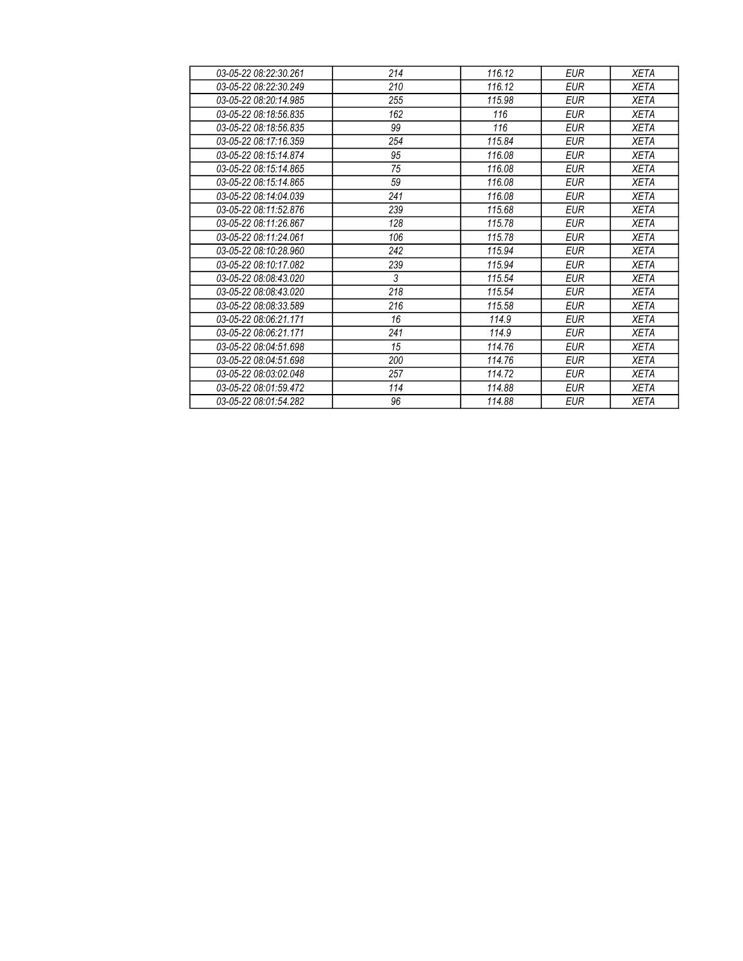| 03-05-22 08:22:30.261 | 214 | 116.12 | <b>EUR</b> | <b>XETA</b> |
|-----------------------|-----|--------|------------|-------------|
| 03-05-22 08:22:30.249 | 210 | 116.12 | <b>EUR</b> | <b>XETA</b> |
| 03-05-22 08:20:14.985 | 255 | 115.98 | <b>EUR</b> | <b>XETA</b> |
| 03-05-22 08:18:56.835 | 162 | 116    | <b>EUR</b> | <b>XETA</b> |
| 03-05-22 08:18:56.835 | 99  | 116    | <b>EUR</b> | <b>XETA</b> |
| 03-05-22 08:17:16.359 | 254 | 115.84 | <b>EUR</b> | <b>XETA</b> |
| 03-05-22 08:15:14.874 | 95  | 116.08 | <b>EUR</b> | <b>XETA</b> |
| 03-05-22 08:15:14.865 | 75  | 116.08 | <b>EUR</b> | <b>XETA</b> |
| 03-05-22 08:15:14.865 | 59  | 116.08 | <b>EUR</b> | <b>XETA</b> |
| 03-05-22 08:14:04.039 | 241 | 116.08 | <b>EUR</b> | <b>XETA</b> |
| 03-05-22 08:11:52.876 | 239 | 115.68 | EUR        | <b>XETA</b> |
| 03-05-22 08:11:26.867 | 128 | 115.78 | <b>EUR</b> | XETA        |
| 03-05-22 08:11:24.061 | 106 | 115.78 | <b>EUR</b> | <b>XETA</b> |
| 03-05-22 08:10:28.960 | 242 | 115.94 | <b>EUR</b> | XETA        |
| 03-05-22 08:10:17.082 | 239 | 115.94 | <b>EUR</b> | <b>XETA</b> |
| 03-05-22 08:08:43.020 | 3   | 115.54 | <b>EUR</b> | XETA        |
| 03-05-22 08:08:43.020 | 218 | 115.54 | <b>EUR</b> | <b>XETA</b> |
| 03-05-22 08:08:33.589 | 216 | 115.58 | EUR        | <b>XETA</b> |
| 03-05-22 08:06:21.171 | 16  | 114.9  | <b>EUR</b> | <b>XETA</b> |
| 03-05-22 08:06:21.171 | 241 | 114.9  | <b>EUR</b> | <b>XETA</b> |
| 03-05-22 08:04:51.698 | 15  | 114.76 | <b>EUR</b> | <b>XETA</b> |
| 03-05-22 08:04:51.698 | 200 | 114.76 | <b>EUR</b> | <b>XETA</b> |
| 03-05-22 08:03:02.048 | 257 | 114.72 | <b>EUR</b> | <b>XETA</b> |
| 03-05-22 08:01:59.472 | 114 | 114.88 | <b>EUR</b> | <b>XETA</b> |
| 03-05-22 08:01:54.282 | 96  | 114.88 | <b>EUR</b> | <b>XETA</b> |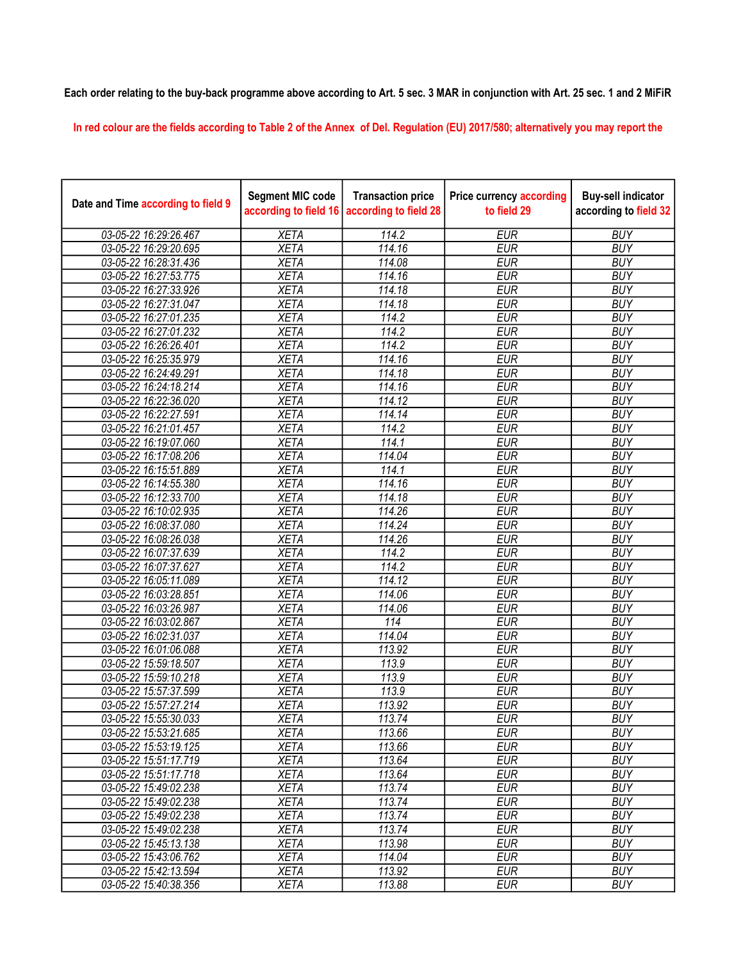## Each order relating to the buy-back programme above according to Art. 5 sec. 3 MAR in conjunction with Art. 25 sec. 1 and 2 MiFiR

In red colour are the fields according to Table 2 of the Annex of Del. Regulation (EU) 2017/580; alternatively you may report the

| Date and Time according to field 9 | <b>Segment MIC code</b><br>according to field 16 | <b>Transaction price</b><br>according to field 28 | <b>Price currency according</b><br>to field 29 | <b>Buy-sell indicator</b><br>according to field 32 |
|------------------------------------|--------------------------------------------------|---------------------------------------------------|------------------------------------------------|----------------------------------------------------|
| 03-05-22 16:29:26.467              | <b>XETA</b>                                      | 114.2                                             | <b>EUR</b>                                     | <b>BUY</b>                                         |
| 03-05-22 16:29:20.695              | <b>XETA</b>                                      | 114.16                                            | <b>EUR</b>                                     | <b>BUY</b>                                         |
| 03-05-22 16:28:31.436              | <b>XETA</b>                                      | 114.08                                            | <b>EUR</b>                                     | <b>BUY</b>                                         |
| 03-05-22 16:27:53.775              | <b>XETA</b>                                      | 114.16                                            | <b>EUR</b>                                     | <b>BUY</b>                                         |
| 03-05-22 16:27:33.926              | <b>XETA</b>                                      | 114.18                                            | <b>EUR</b>                                     | <b>BUY</b>                                         |
| 03-05-22 16:27:31.047              | <b>XETA</b>                                      | 114.18                                            | <b>EUR</b>                                     | <b>BUY</b>                                         |
| 03-05-22 16:27:01.235              | <b>XETA</b>                                      | 114.2                                             | <b>EUR</b>                                     | <b>BUY</b>                                         |
| 03-05-22 16:27:01.232              | <b>XETA</b>                                      | 114.2                                             | <b>EUR</b>                                     | <b>BUY</b>                                         |
| 03-05-22 16:26:26.401              | <b>XETA</b>                                      | 114.2                                             | <b>EUR</b>                                     | <b>BUY</b>                                         |
| 03-05-22 16:25:35.979              | <b>XETA</b>                                      | 114.16                                            | <b>EUR</b>                                     | <b>BUY</b>                                         |
| 03-05-22 16:24:49.291              | <b>XETA</b>                                      | 114.18                                            | <b>EUR</b>                                     | <b>BUY</b>                                         |
| 03-05-22 16:24:18.214              | <b>XETA</b>                                      | 114.16                                            | <b>EUR</b>                                     | <b>BUY</b>                                         |
| 03-05-22 16:22:36.020              | <b>XETA</b>                                      | 114.12                                            | <b>EUR</b>                                     | <b>BUY</b>                                         |
| 03-05-22 16:22:27.591              | <b>XETA</b>                                      | 114.14                                            | <b>EUR</b>                                     | <b>BUY</b>                                         |
| 03-05-22 16:21:01.457              | <b>XETA</b>                                      | 114.2                                             | <b>EUR</b>                                     | <b>BUY</b>                                         |
| 03-05-22 16:19:07.060              | <b>XETA</b>                                      | 114.1                                             | <b>EUR</b>                                     | <b>BUY</b>                                         |
| 03-05-22 16:17:08.206              | <b>XETA</b>                                      | 114.04                                            | <b>EUR</b>                                     | <b>BUY</b>                                         |
| 03-05-22 16:15:51.889              | <b>XETA</b>                                      | 114.1                                             | <b>EUR</b>                                     | <b>BUY</b>                                         |
| 03-05-22 16:14:55.380              | <b>XETA</b>                                      | 114.16                                            | <b>EUR</b>                                     | <b>BUY</b>                                         |
| 03-05-22 16:12:33.700              | <b>XETA</b>                                      | 114.18                                            | <b>EUR</b>                                     | <b>BUY</b>                                         |
| 03-05-22 16:10:02.935              | <b>XETA</b>                                      | 114.26                                            | <b>EUR</b>                                     | <b>BUY</b>                                         |
| 03-05-22 16:08:37.080              | <b>XETA</b>                                      | 114.24                                            | <b>EUR</b>                                     | <b>BUY</b>                                         |
| 03-05-22 16:08:26.038              | <b>XETA</b>                                      | 114.26                                            | <b>EUR</b>                                     | <b>BUY</b>                                         |
| 03-05-22 16:07:37.639              | <b>XETA</b>                                      | 114.2                                             | <b>EUR</b>                                     | <b>BUY</b>                                         |
| 03-05-22 16:07:37.627              | <b>XETA</b>                                      | 114.2                                             | <b>EUR</b>                                     | <b>BUY</b>                                         |
| 03-05-22 16:05:11.089              | <b>XETA</b>                                      | 114.12                                            | <b>EUR</b>                                     | <b>BUY</b>                                         |
| 03-05-22 16:03:28.851              | <b>XETA</b>                                      | 114.06                                            | <b>EUR</b>                                     | <b>BUY</b>                                         |
| 03-05-22 16:03:26.987              | <b>XETA</b>                                      | 114.06                                            | <b>EUR</b>                                     | <b>BUY</b>                                         |
| 03-05-22 16:03:02.867              | <b>XETA</b>                                      | 114                                               | <b>EUR</b>                                     | <b>BUY</b>                                         |
| 03-05-22 16:02:31.037              | <b>XETA</b>                                      | 114.04                                            | <b>EUR</b>                                     | <b>BUY</b>                                         |
| 03-05-22 16:01:06.088              | <b>XETA</b>                                      | 113.92                                            | <b>EUR</b>                                     | <b>BUY</b>                                         |
| 03-05-22 15:59:18.507              | <b>XETA</b>                                      | 113.9                                             | <b>EUR</b>                                     | <b>BUY</b>                                         |
| 03-05-22 15:59:10.218              | <b>XETA</b>                                      | 113.9                                             | <b>EUR</b>                                     | <b>BUY</b>                                         |
| 03-05-22 15:57:37.599              | <b>XETA</b>                                      | 113.9                                             | <b>EUR</b>                                     | <b>BUY</b>                                         |
| 03-05-22 15:57:27.214              | <b>XETA</b>                                      | 113.92                                            | <b>EUR</b>                                     | <b>BUY</b>                                         |
| 03-05-22 15:55:30.033              | <b>XETA</b>                                      | 113.74                                            | <b>EUR</b>                                     | <b>BUY</b>                                         |
| 03-05-22 15:53:21.685              | <b>XETA</b>                                      | 113.66                                            | <b>EUR</b>                                     | <b>BUY</b>                                         |
| 03-05-22 15:53:19.125              | <b>XETA</b>                                      | 113.66                                            | <b>EUR</b>                                     | <b>BUY</b>                                         |
| 03-05-22 15:51:17.719              | <b>XETA</b>                                      | 113.64                                            | <b>EUR</b>                                     | <b>BUY</b>                                         |
| 03-05-22 15:51:17.718              | <b>XETA</b>                                      | 113.64                                            | <b>EUR</b>                                     | <b>BUY</b>                                         |
| 03-05-22 15:49:02.238              | <b>XETA</b>                                      | 113.74                                            | <b>EUR</b>                                     | <b>BUY</b>                                         |
| 03-05-22 15:49:02.238              | <b>XETA</b>                                      | 113.74                                            | <b>EUR</b>                                     | <b>BUY</b>                                         |
| 03-05-22 15:49:02.238              | <b>XETA</b>                                      | 113.74                                            | <b>EUR</b>                                     | <b>BUY</b>                                         |
| 03-05-22 15:49:02.238              | <b>XETA</b>                                      | 113.74                                            | <b>EUR</b>                                     | <b>BUY</b>                                         |
| 03-05-22 15:45:13.138              | <b>XETA</b>                                      | 113.98                                            | <b>EUR</b>                                     | <b>BUY</b>                                         |
| 03-05-22 15:43:06.762              | <b>XETA</b>                                      | 114.04                                            | <b>EUR</b>                                     | <b>BUY</b>                                         |
| 03-05-22 15:42:13.594              | <b>XETA</b>                                      | 113.92                                            | <b>EUR</b>                                     | <b>BUY</b>                                         |
| 03-05-22 15:40:38.356              | <b>XETA</b>                                      | 113.88                                            | <b>EUR</b>                                     | <b>BUY</b>                                         |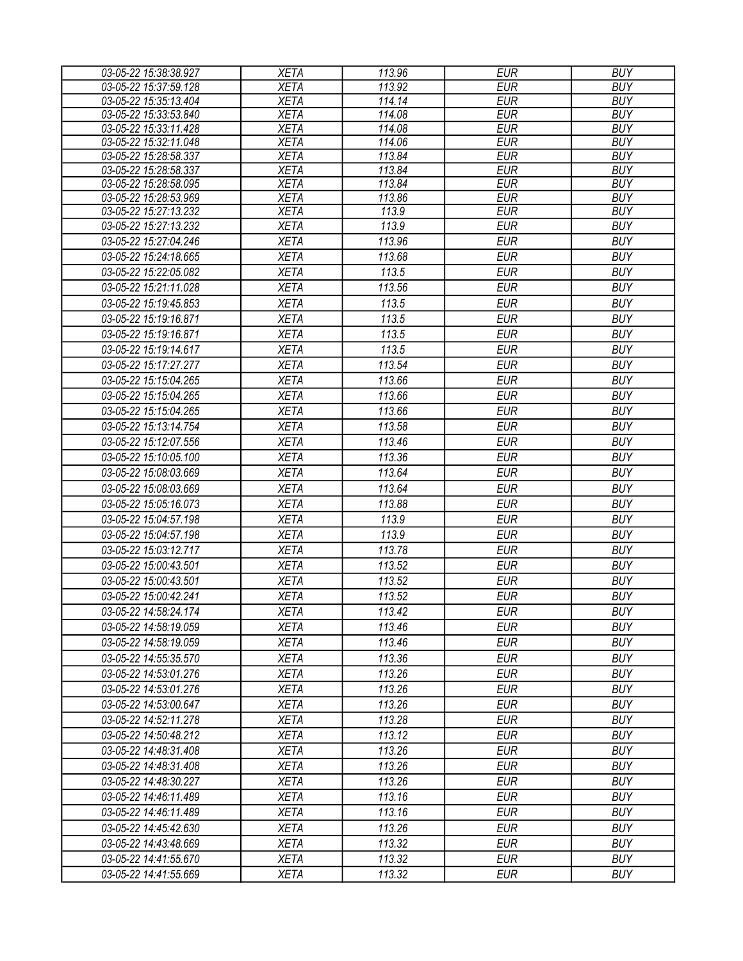| 03-05-22 15:38:38.927 | <b>XETA</b> | 113.96 | <b>EUR</b> | <b>BUY</b> |
|-----------------------|-------------|--------|------------|------------|
| 03-05-22 15:37:59.128 | <b>XETA</b> | 113.92 | <b>EUR</b> | <b>BUY</b> |
| 03-05-22 15:35:13.404 | <b>XETA</b> | 114.14 | <b>EUR</b> | <b>BUY</b> |
| 03-05-22 15:33:53.840 | <b>XETA</b> | 114.08 | <b>EUR</b> | <b>BUY</b> |
| 03-05-22 15:33:11.428 | <b>XETA</b> | 114.08 | <b>EUR</b> | <b>BUY</b> |
| 03-05-22 15:32:11.048 | <b>XETA</b> | 114.06 | <b>EUR</b> | <b>BUY</b> |
| 03-05-22 15:28:58.337 | <b>XETA</b> | 113.84 | <b>EUR</b> | <b>BUY</b> |
| 03-05-22 15:28:58.337 | <b>XETA</b> | 113.84 | <b>EUR</b> | <b>BUY</b> |
| 03-05-22 15:28:58.095 | <b>XETA</b> | 113.84 | <b>EUR</b> | <b>BUY</b> |
| 03-05-22 15:28:53.969 | <b>XETA</b> | 113.86 | <b>EUR</b> | <b>BUY</b> |
| 03-05-22 15:27:13.232 | <b>XETA</b> | 113.9  | <b>EUR</b> | <b>BUY</b> |
| 03-05-22 15:27:13.232 | <b>XETA</b> | 113.9  | <b>EUR</b> | <b>BUY</b> |
| 03-05-22 15:27:04.246 | <b>XETA</b> | 113.96 | <b>EUR</b> | <b>BUY</b> |
| 03-05-22 15:24:18.665 | <b>XETA</b> | 113.68 | <b>EUR</b> | <b>BUY</b> |
| 03-05-22 15:22:05.082 | <b>XETA</b> | 113.5  | <b>EUR</b> | <b>BUY</b> |
| 03-05-22 15:21:11.028 | <b>XETA</b> | 113.56 | <b>EUR</b> | <b>BUY</b> |
| 03-05-22 15:19:45.853 | <b>XETA</b> | 113.5  | <b>EUR</b> | <b>BUY</b> |
| 03-05-22 15:19:16.871 | <b>XETA</b> | 113.5  | <b>EUR</b> | <b>BUY</b> |
| 03-05-22 15:19:16.871 | <b>XETA</b> | 113.5  | <b>EUR</b> | <b>BUY</b> |
| 03-05-22 15:19:14.617 | <b>XETA</b> | 113.5  | <b>EUR</b> | <b>BUY</b> |
| 03-05-22 15:17:27.277 | <b>XETA</b> | 113.54 | <b>EUR</b> | <b>BUY</b> |
| 03-05-22 15:15:04.265 | <b>XETA</b> | 113.66 | <b>EUR</b> | <b>BUY</b> |
| 03-05-22 15:15:04.265 | <b>XETA</b> | 113.66 | <b>EUR</b> | <b>BUY</b> |
| 03-05-22 15:15:04.265 | <b>XETA</b> | 113.66 | <b>EUR</b> | <b>BUY</b> |
| 03-05-22 15:13:14.754 | <b>XETA</b> | 113.58 | <b>EUR</b> | <b>BUY</b> |
|                       |             |        |            |            |
| 03-05-22 15:12:07.556 | <b>XETA</b> | 113.46 | <b>EUR</b> | <b>BUY</b> |
| 03-05-22 15:10:05.100 | <b>XETA</b> | 113.36 | <b>EUR</b> | <b>BUY</b> |
| 03-05-22 15:08:03.669 | <b>XETA</b> | 113.64 | <b>EUR</b> | <b>BUY</b> |
| 03-05-22 15:08:03.669 | <b>XETA</b> | 113.64 | <b>EUR</b> | <b>BUY</b> |
| 03-05-22 15:05:16.073 | <b>XETA</b> | 113.88 | <b>EUR</b> | <b>BUY</b> |
| 03-05-22 15:04:57.198 | <b>XETA</b> | 113.9  | <b>EUR</b> | <b>BUY</b> |
| 03-05-22 15:04:57.198 | <b>XETA</b> | 113.9  | <b>EUR</b> | <b>BUY</b> |
| 03-05-22 15:03:12.717 | <b>XETA</b> | 113.78 | <b>EUR</b> | <b>BUY</b> |
| 03-05-22 15:00:43.501 | <b>XETA</b> | 113.52 | <b>EUR</b> | <b>BUY</b> |
| 03-05-22 15:00:43.501 | <b>XETA</b> | 113.52 | <b>EUR</b> | <b>BUY</b> |
| 03-05-22 15:00:42.241 | <b>XETA</b> | 113.52 | <b>EUR</b> | <b>BUY</b> |
| 03-05-22 14:58:24.174 | <b>XETA</b> | 113.42 | <b>EUR</b> | <b>BUY</b> |
| 03-05-22 14:58:19.059 | <b>XETA</b> | 113.46 | <b>EUR</b> | <b>BUY</b> |
| 03-05-22 14:58:19.059 | <b>XETA</b> | 113.46 | <b>EUR</b> | <b>BUY</b> |
| 03-05-22 14:55:35.570 | <b>XETA</b> | 113.36 | <b>EUR</b> | <b>BUY</b> |
| 03-05-22 14:53:01.276 | <b>XETA</b> | 113.26 | <b>EUR</b> | <b>BUY</b> |
| 03-05-22 14:53:01.276 | <b>XETA</b> | 113.26 | <b>EUR</b> | <b>BUY</b> |
| 03-05-22 14:53:00.647 | <b>XETA</b> | 113.26 | <b>EUR</b> | <b>BUY</b> |
|                       | <b>XETA</b> | 113.28 | <b>EUR</b> | <b>BUY</b> |
| 03-05-22 14:52:11.278 |             |        |            |            |
| 03-05-22 14:50:48.212 | <b>XETA</b> | 113.12 | <b>EUR</b> | <b>BUY</b> |
| 03-05-22 14:48:31.408 | <b>XETA</b> | 113.26 | <b>EUR</b> | <b>BUY</b> |
| 03-05-22 14:48:31.408 | <b>XETA</b> | 113.26 | EUR        | <b>BUY</b> |
| 03-05-22 14:48:30.227 | <b>XETA</b> | 113.26 | <b>EUR</b> | <b>BUY</b> |
| 03-05-22 14:46:11.489 | <b>XETA</b> | 113.16 | <b>EUR</b> | <b>BUY</b> |
| 03-05-22 14:46:11.489 | <b>XETA</b> | 113.16 | <b>EUR</b> | <b>BUY</b> |
| 03-05-22 14:45:42.630 | <b>XETA</b> | 113.26 | <b>EUR</b> | <b>BUY</b> |
| 03-05-22 14:43:48.669 | <b>XETA</b> | 113.32 | <b>EUR</b> | <b>BUY</b> |
| 03-05-22 14:41:55.670 | <b>XETA</b> | 113.32 | <b>EUR</b> | <b>BUY</b> |
| 03-05-22 14:41:55.669 | <b>XETA</b> | 113.32 | <b>EUR</b> | <b>BUY</b> |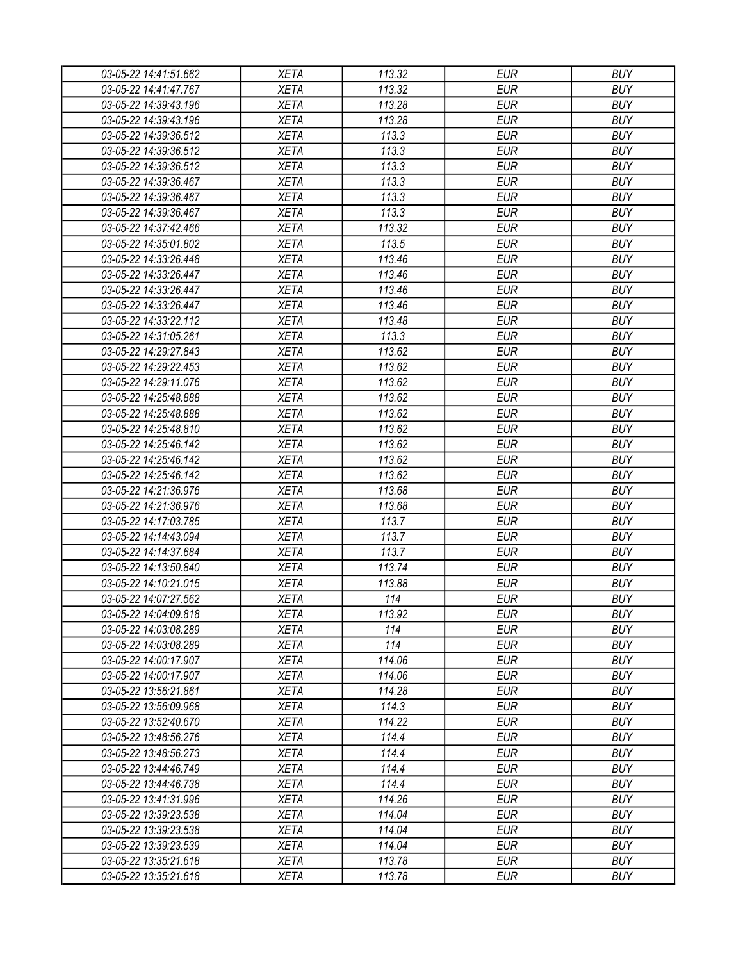| 03-05-22 14:41:51.662 | <b>XETA</b> | 113.32 | <b>EUR</b> | <b>BUY</b> |
|-----------------------|-------------|--------|------------|------------|
| 03-05-22 14:41:47.767 | <b>XETA</b> | 113.32 | <b>EUR</b> | <b>BUY</b> |
| 03-05-22 14:39:43.196 | <b>XETA</b> | 113.28 | <b>EUR</b> | <b>BUY</b> |
| 03-05-22 14:39:43.196 | <b>XETA</b> | 113.28 | <b>EUR</b> | <b>BUY</b> |
| 03-05-22 14:39:36.512 | <b>XETA</b> | 113.3  | <b>EUR</b> | <b>BUY</b> |
| 03-05-22 14:39:36.512 | <b>XETA</b> | 113.3  | <b>EUR</b> | <b>BUY</b> |
| 03-05-22 14:39:36.512 | <b>XETA</b> | 113.3  | <b>EUR</b> | <b>BUY</b> |
| 03-05-22 14:39:36.467 | <b>XETA</b> | 113.3  | <b>EUR</b> | <b>BUY</b> |
| 03-05-22 14:39:36.467 | <b>XETA</b> | 113.3  | <b>EUR</b> | <b>BUY</b> |
| 03-05-22 14:39:36.467 | <b>XETA</b> | 113.3  | <b>EUR</b> | <b>BUY</b> |
| 03-05-22 14:37:42.466 | <b>XETA</b> | 113.32 | <b>EUR</b> | <b>BUY</b> |
| 03-05-22 14:35:01.802 | <b>XETA</b> | 113.5  | <b>EUR</b> | <b>BUY</b> |
| 03-05-22 14:33:26.448 | <b>XETA</b> | 113.46 | <b>EUR</b> | <b>BUY</b> |
| 03-05-22 14:33:26.447 | <b>XETA</b> | 113.46 | <b>EUR</b> | <b>BUY</b> |
| 03-05-22 14:33:26.447 | <b>XETA</b> | 113.46 | <b>EUR</b> | <b>BUY</b> |
| 03-05-22 14:33:26.447 | <b>XETA</b> | 113.46 | <b>EUR</b> | <b>BUY</b> |
| 03-05-22 14:33:22.112 | <b>XETA</b> | 113.48 | <b>EUR</b> | <b>BUY</b> |
| 03-05-22 14:31:05.261 | <b>XETA</b> | 113.3  | <b>EUR</b> | <b>BUY</b> |
| 03-05-22 14:29:27.843 | <b>XETA</b> | 113.62 | <b>EUR</b> | <b>BUY</b> |
| 03-05-22 14:29:22.453 | <b>XETA</b> | 113.62 | <b>EUR</b> | <b>BUY</b> |
| 03-05-22 14:29:11.076 | <b>XETA</b> | 113.62 | <b>EUR</b> | <b>BUY</b> |
| 03-05-22 14:25:48.888 | <b>XETA</b> | 113.62 | <b>EUR</b> | <b>BUY</b> |
| 03-05-22 14:25:48.888 | <b>XETA</b> | 113.62 | <b>EUR</b> | <b>BUY</b> |
| 03-05-22 14:25:48.810 | <b>XETA</b> | 113.62 | <b>EUR</b> | <b>BUY</b> |
|                       |             |        |            |            |
| 03-05-22 14:25:46.142 | <b>XETA</b> | 113.62 | <b>EUR</b> | <b>BUY</b> |
| 03-05-22 14:25:46.142 | <b>XETA</b> | 113.62 | <b>EUR</b> | <b>BUY</b> |
| 03-05-22 14:25:46.142 | <b>XETA</b> | 113.62 | <b>EUR</b> | <b>BUY</b> |
| 03-05-22 14:21:36.976 | <b>XETA</b> | 113.68 | <b>EUR</b> | <b>BUY</b> |
| 03-05-22 14:21:36.976 | <b>XETA</b> | 113.68 | <b>EUR</b> | <b>BUY</b> |
| 03-05-22 14:17:03.785 | <b>XETA</b> | 113.7  | <b>EUR</b> | <b>BUY</b> |
| 03-05-22 14:14:43.094 | <b>XETA</b> | 113.7  | <b>EUR</b> | <b>BUY</b> |
| 03-05-22 14:14:37.684 | <b>XETA</b> | 113.7  | <b>EUR</b> | <b>BUY</b> |
| 03-05-22 14:13:50.840 | <b>XETA</b> | 113.74 | <b>EUR</b> | <b>BUY</b> |
| 03-05-22 14:10:21.015 | <b>XETA</b> | 113.88 | <b>EUR</b> | <b>BUY</b> |
| 03-05-22 14:07:27.562 | <b>XETA</b> | 114    | <b>EUR</b> | <b>BUY</b> |
| 03-05-22 14:04:09.818 | <b>XETA</b> | 113.92 | <b>EUR</b> | <b>BUY</b> |
| 03-05-22 14:03:08.289 | <b>XETA</b> | 114    | <b>EUR</b> | <b>BUY</b> |
| 03-05-22 14:03:08.289 | <b>XETA</b> | 114    | <b>EUR</b> | <b>BUY</b> |
| 03-05-22 14:00:17.907 | <b>XETA</b> | 114.06 | <b>EUR</b> | <b>BUY</b> |
| 03-05-22 14:00:17.907 | <b>XETA</b> | 114.06 | <b>EUR</b> | <b>BUY</b> |
| 03-05-22 13:56:21.861 | <b>XETA</b> | 114.28 | <b>EUR</b> | <b>BUY</b> |
| 03-05-22 13:56:09.968 | <b>XETA</b> | 114.3  | <b>EUR</b> | <b>BUY</b> |
| 03-05-22 13:52:40.670 | <b>XETA</b> | 114.22 | <b>EUR</b> | <b>BUY</b> |
| 03-05-22 13:48:56.276 | <b>XETA</b> | 114.4  | <b>EUR</b> | <b>BUY</b> |
| 03-05-22 13:48:56.273 | <b>XETA</b> | 114.4  | <b>EUR</b> | <b>BUY</b> |
| 03-05-22 13:44:46.749 | <b>XETA</b> | 114.4  | <b>EUR</b> | <b>BUY</b> |
| 03-05-22 13:44:46.738 | <b>XETA</b> | 114.4  | <b>EUR</b> | <b>BUY</b> |
| 03-05-22 13:41:31.996 | <b>XETA</b> | 114.26 | <b>EUR</b> | <b>BUY</b> |
| 03-05-22 13:39:23.538 | <b>XETA</b> | 114.04 | <b>EUR</b> | <b>BUY</b> |
| 03-05-22 13:39:23.538 | <b>XETA</b> | 114.04 | <b>EUR</b> | <b>BUY</b> |
| 03-05-22 13:39:23.539 | <b>XETA</b> | 114.04 | <b>EUR</b> | <b>BUY</b> |
| 03-05-22 13:35:21.618 | <b>XETA</b> | 113.78 | <b>EUR</b> | <b>BUY</b> |
| 03-05-22 13:35:21.618 | XETA        | 113.78 | <b>EUR</b> | <b>BUY</b> |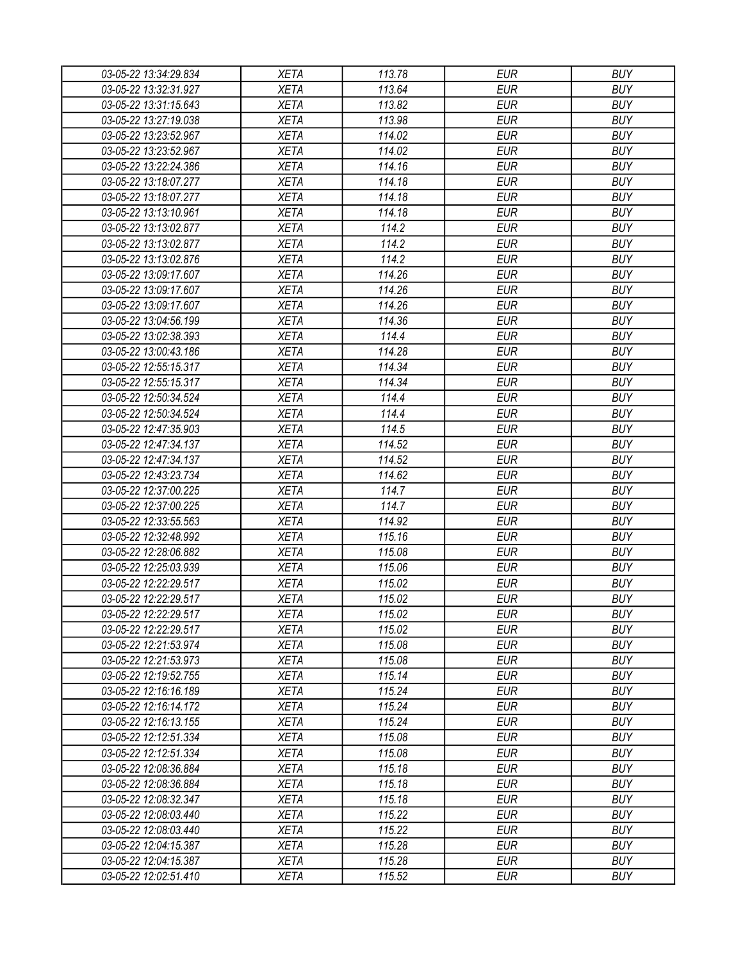| 03-05-22 13:34:29.834 | <b>XETA</b>                | 113.78 | EUR        | <b>BUY</b> |
|-----------------------|----------------------------|--------|------------|------------|
| 03-05-22 13:32:31.927 | <b>XETA</b>                | 113.64 | <b>EUR</b> | <b>BUY</b> |
| 03-05-22 13:31:15.643 | <b>XETA</b>                | 113.82 | <b>EUR</b> | <b>BUY</b> |
| 03-05-22 13:27:19.038 | <b>XETA</b>                | 113.98 | <b>EUR</b> | <b>BUY</b> |
| 03-05-22 13:23:52.967 | <b>XETA</b>                | 114.02 | <b>EUR</b> | <b>BUY</b> |
| 03-05-22 13:23:52.967 | <b>XETA</b>                | 114.02 | <b>EUR</b> | <b>BUY</b> |
| 03-05-22 13:22:24.386 | <b>XETA</b>                | 114.16 | <b>EUR</b> | <b>BUY</b> |
| 03-05-22 13:18:07.277 | <b>XETA</b>                | 114.18 | <b>EUR</b> | <b>BUY</b> |
| 03-05-22 13:18:07.277 | <b>XETA</b>                | 114.18 | <b>EUR</b> | <b>BUY</b> |
| 03-05-22 13:13:10.961 | <b>XETA</b>                | 114.18 | <b>EUR</b> | <b>BUY</b> |
| 03-05-22 13:13:02.877 | <b>XETA</b>                | 114.2  | <b>EUR</b> | <b>BUY</b> |
| 03-05-22 13:13:02.877 | <b>XETA</b>                | 114.2  | <b>EUR</b> | <b>BUY</b> |
| 03-05-22 13:13:02.876 | <b>XETA</b>                | 114.2  | <b>EUR</b> | <b>BUY</b> |
| 03-05-22 13:09:17.607 | <b>XETA</b>                | 114.26 | <b>EUR</b> | <b>BUY</b> |
| 03-05-22 13:09:17.607 | <b>XETA</b>                | 114.26 | <b>EUR</b> | <b>BUY</b> |
| 03-05-22 13:09:17.607 | <b>XETA</b>                | 114.26 | <b>EUR</b> | <b>BUY</b> |
| 03-05-22 13:04:56.199 | <b>XETA</b>                | 114.36 | <b>EUR</b> | <b>BUY</b> |
| 03-05-22 13:02:38.393 | <b>XETA</b>                | 114.4  | <b>EUR</b> | <b>BUY</b> |
| 03-05-22 13:00:43.186 | <b>XETA</b>                | 114.28 | <b>EUR</b> | <b>BUY</b> |
| 03-05-22 12:55:15.317 | <b>XETA</b>                | 114.34 | <b>EUR</b> | <b>BUY</b> |
| 03-05-22 12:55:15.317 | <b>XETA</b>                | 114.34 | <b>EUR</b> | <b>BUY</b> |
| 03-05-22 12:50:34.524 | <b>XETA</b>                | 114.4  | <b>EUR</b> | <b>BUY</b> |
| 03-05-22 12:50:34.524 | <b>XETA</b>                | 114.4  | <b>EUR</b> | <b>BUY</b> |
| 03-05-22 12:47:35.903 | <b>XETA</b>                | 114.5  | <b>EUR</b> | <b>BUY</b> |
| 03-05-22 12:47:34.137 | <b>XETA</b>                | 114.52 | <b>EUR</b> | <b>BUY</b> |
| 03-05-22 12:47:34.137 | <b>XETA</b>                | 114.52 | <b>EUR</b> | <b>BUY</b> |
| 03-05-22 12:43:23.734 | <b>XETA</b>                | 114.62 | <b>EUR</b> | <b>BUY</b> |
| 03-05-22 12:37:00.225 | <b>XETA</b>                | 114.7  | <b>EUR</b> | <b>BUY</b> |
| 03-05-22 12:37:00.225 | <b>XETA</b>                | 114.7  | <b>EUR</b> | <b>BUY</b> |
| 03-05-22 12:33:55.563 | <b>XETA</b>                | 114.92 | <b>EUR</b> | <b>BUY</b> |
| 03-05-22 12:32:48.992 | <b>XETA</b>                | 115.16 | <b>EUR</b> | <b>BUY</b> |
| 03-05-22 12:28:06.882 | <b>XETA</b>                | 115.08 | <b>EUR</b> | <b>BUY</b> |
| 03-05-22 12:25:03.939 | <b>XETA</b>                | 115.06 | <b>EUR</b> | <b>BUY</b> |
| 03-05-22 12:22:29.517 | <b>XETA</b>                | 115.02 | <b>EUR</b> | <b>BUY</b> |
| 03-05-22 12:22:29.517 | <b>XETA</b>                | 115.02 | <b>EUR</b> | <b>BUY</b> |
| 03-05-22 12:22:29.517 | <b>XETA</b>                | 115.02 | <b>EUR</b> | <b>BUY</b> |
| 03-05-22 12:22:29.517 | <b>XETA</b>                | 115.02 | <b>EUR</b> | <b>BUY</b> |
|                       |                            | 115.08 | <b>EUR</b> | <b>BUY</b> |
| 03-05-22 12:21:53.974 | <b>XETA</b><br><b>XETA</b> | 115.08 | <b>EUR</b> | <b>BUY</b> |
| 03-05-22 12:21:53.973 |                            |        |            |            |
| 03-05-22 12:19:52.755 | <b>XETA</b>                | 115.14 | <b>EUR</b> | <b>BUY</b> |
| 03-05-22 12:16:16.189 | <b>XETA</b>                | 115.24 | <b>EUR</b> | <b>BUY</b> |
| 03-05-22 12:16:14.172 | <b>XETA</b>                | 115.24 | <b>EUR</b> | <b>BUY</b> |
| 03-05-22 12:16:13.155 | <b>XETA</b>                | 115.24 | <b>EUR</b> | <b>BUY</b> |
| 03-05-22 12:12:51.334 | <b>XETA</b>                | 115.08 | <b>EUR</b> | <b>BUY</b> |
| 03-05-22 12:12:51.334 | <b>XETA</b>                | 115.08 | <b>EUR</b> | <b>BUY</b> |
| 03-05-22 12:08:36.884 | <b>XETA</b>                | 115.18 | <b>EUR</b> | <b>BUY</b> |
| 03-05-22 12:08:36.884 | <b>XETA</b>                | 115.18 | <b>EUR</b> | <b>BUY</b> |
| 03-05-22 12:08:32.347 | <b>XETA</b>                | 115.18 | <b>EUR</b> | <b>BUY</b> |
| 03-05-22 12:08:03.440 | <b>XETA</b>                | 115.22 | <b>EUR</b> | <b>BUY</b> |
| 03-05-22 12:08:03.440 | <b>XETA</b>                | 115.22 | <b>EUR</b> | <b>BUY</b> |
| 03-05-22 12:04:15.387 | <b>XETA</b>                | 115.28 | EUR        | <b>BUY</b> |
| 03-05-22 12:04:15.387 | <b>XETA</b>                | 115.28 | <b>EUR</b> | <b>BUY</b> |
| 03-05-22 12:02:51.410 | XETA                       | 115.52 | <b>EUR</b> | <b>BUY</b> |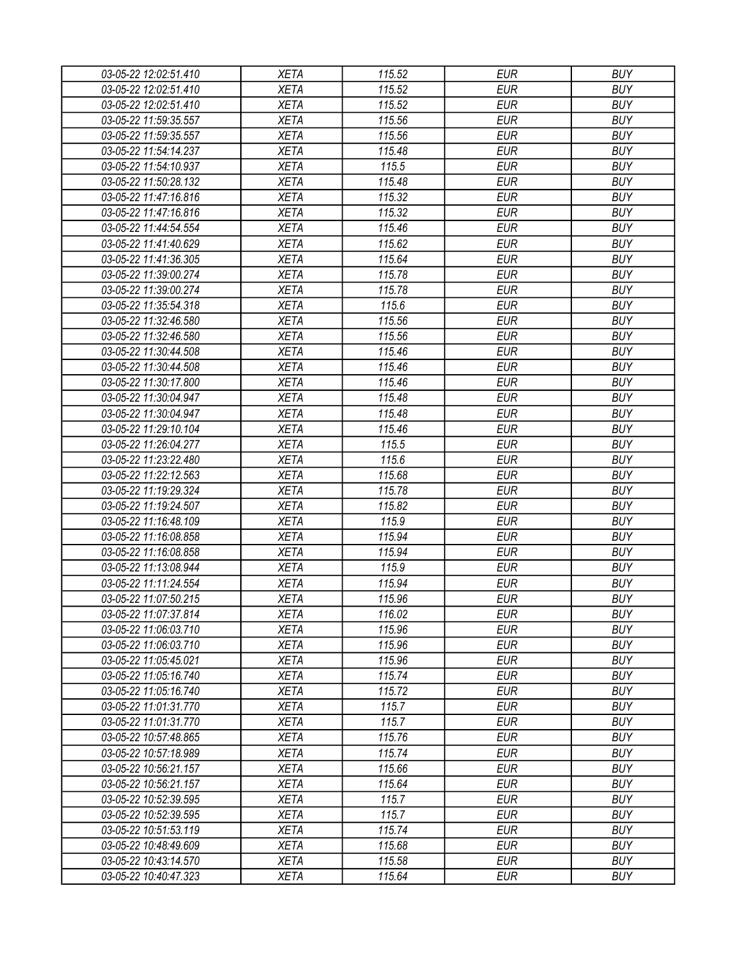| 03-05-22 12:02:51.410 | <b>XETA</b> | 115.52 | <b>EUR</b> | <b>BUY</b> |
|-----------------------|-------------|--------|------------|------------|
| 03-05-22 12:02:51.410 | <b>XETA</b> | 115.52 | <b>EUR</b> | <b>BUY</b> |
| 03-05-22 12:02:51.410 | <b>XETA</b> | 115.52 | <b>EUR</b> | <b>BUY</b> |
| 03-05-22 11:59:35.557 | <b>XETA</b> | 115.56 | <b>EUR</b> | <b>BUY</b> |
| 03-05-22 11:59:35.557 | <b>XETA</b> | 115.56 | <b>EUR</b> | <b>BUY</b> |
| 03-05-22 11:54:14.237 | <b>XETA</b> | 115.48 | <b>EUR</b> | <b>BUY</b> |
| 03-05-22 11:54:10.937 | <b>XETA</b> | 115.5  | <b>EUR</b> | <b>BUY</b> |
| 03-05-22 11:50:28.132 | <b>XETA</b> | 115.48 | <b>EUR</b> | <b>BUY</b> |
| 03-05-22 11:47:16.816 | <b>XETA</b> | 115.32 | <b>EUR</b> | <b>BUY</b> |
| 03-05-22 11:47:16.816 | <b>XETA</b> | 115.32 | <b>EUR</b> | <b>BUY</b> |
| 03-05-22 11:44:54.554 | <b>XETA</b> | 115.46 | <b>EUR</b> | <b>BUY</b> |
| 03-05-22 11:41:40.629 | <b>XETA</b> | 115.62 | <b>EUR</b> | <b>BUY</b> |
| 03-05-22 11:41:36.305 | <b>XETA</b> | 115.64 | <b>EUR</b> | <b>BUY</b> |
| 03-05-22 11:39:00.274 | <b>XETA</b> | 115.78 | <b>EUR</b> | <b>BUY</b> |
| 03-05-22 11:39:00.274 | <b>XETA</b> | 115.78 | <b>EUR</b> | <b>BUY</b> |
| 03-05-22 11:35:54.318 | <b>XETA</b> | 115.6  | <b>EUR</b> | <b>BUY</b> |
| 03-05-22 11:32:46.580 | <b>XETA</b> | 115.56 | <b>EUR</b> | <b>BUY</b> |
| 03-05-22 11:32:46.580 | <b>XETA</b> | 115.56 | <b>EUR</b> | <b>BUY</b> |
| 03-05-22 11:30:44.508 | <b>XETA</b> | 115.46 | <b>EUR</b> | <b>BUY</b> |
| 03-05-22 11:30:44.508 | <b>XETA</b> | 115.46 | <b>EUR</b> | <b>BUY</b> |
| 03-05-22 11:30:17.800 | <b>XETA</b> | 115.46 | <b>EUR</b> | <b>BUY</b> |
| 03-05-22 11:30:04.947 | <b>XETA</b> | 115.48 | <b>EUR</b> | <b>BUY</b> |
| 03-05-22 11:30:04.947 | <b>XETA</b> | 115.48 | <b>EUR</b> | <b>BUY</b> |
| 03-05-22 11:29:10.104 | <b>XETA</b> | 115.46 | <b>EUR</b> | <b>BUY</b> |
| 03-05-22 11:26:04.277 | <b>XETA</b> | 115.5  | <b>EUR</b> | <b>BUY</b> |
| 03-05-22 11:23:22.480 | <b>XETA</b> | 115.6  | <b>EUR</b> | <b>BUY</b> |
| 03-05-22 11:22:12.563 | <b>XETA</b> | 115.68 | <b>EUR</b> | <b>BUY</b> |
| 03-05-22 11:19:29.324 | <b>XETA</b> | 115.78 | <b>EUR</b> | <b>BUY</b> |
| 03-05-22 11:19:24.507 | <b>XETA</b> | 115.82 | <b>EUR</b> | <b>BUY</b> |
| 03-05-22 11:16:48.109 | <b>XETA</b> | 115.9  | <b>EUR</b> | <b>BUY</b> |
| 03-05-22 11:16:08.858 | <b>XETA</b> | 115.94 | <b>EUR</b> | <b>BUY</b> |
| 03-05-22 11:16:08.858 | <b>XETA</b> | 115.94 | <b>EUR</b> | <b>BUY</b> |
| 03-05-22 11:13:08.944 | <b>XETA</b> | 115.9  | <b>EUR</b> | <b>BUY</b> |
| 03-05-22 11:11:24.554 | <b>XETA</b> | 115.94 | <b>EUR</b> | <b>BUY</b> |
| 03-05-22 11:07:50.215 | <b>XETA</b> | 115.96 | <b>EUR</b> | <b>BUY</b> |
| 03-05-22 11:07:37.814 | <b>XETA</b> | 116.02 | <b>EUR</b> | <b>BUY</b> |
| 03-05-22 11:06:03.710 | <b>XETA</b> | 115.96 | <b>EUR</b> | <b>BUY</b> |
| 03-05-22 11:06:03.710 | <b>XETA</b> | 115.96 | <b>EUR</b> | <b>BUY</b> |
| 03-05-22 11:05:45.021 | <b>XETA</b> | 115.96 | <b>EUR</b> | <b>BUY</b> |
| 03-05-22 11:05:16.740 | <b>XETA</b> | 115.74 | <b>EUR</b> | <b>BUY</b> |
| 03-05-22 11:05:16.740 | <b>XETA</b> | 115.72 | <b>EUR</b> | <b>BUY</b> |
| 03-05-22 11:01:31.770 | <b>XETA</b> | 115.7  | <b>EUR</b> | <b>BUY</b> |
| 03-05-22 11:01:31.770 | <b>XETA</b> | 115.7  | <b>EUR</b> | <b>BUY</b> |
| 03-05-22 10:57:48.865 | <b>XETA</b> | 115.76 | <b>EUR</b> | <b>BUY</b> |
| 03-05-22 10:57:18.989 | <b>XETA</b> | 115.74 | <b>EUR</b> | <b>BUY</b> |
| 03-05-22 10:56:21.157 | <b>XETA</b> | 115.66 | <b>EUR</b> | <b>BUY</b> |
| 03-05-22 10:56:21.157 | <b>XETA</b> | 115.64 | <b>EUR</b> | <b>BUY</b> |
| 03-05-22 10:52:39.595 | <b>XETA</b> | 115.7  | <b>EUR</b> | <b>BUY</b> |
| 03-05-22 10:52:39.595 | <b>XETA</b> | 115.7  | <b>EUR</b> | <b>BUY</b> |
| 03-05-22 10:51:53.119 | <b>XETA</b> | 115.74 | <b>EUR</b> | <b>BUY</b> |
| 03-05-22 10:48:49.609 | <b>XETA</b> | 115.68 | <b>EUR</b> | <b>BUY</b> |
| 03-05-22 10:43:14.570 | <b>XETA</b> | 115.58 | <b>EUR</b> | <b>BUY</b> |
| 03-05-22 10:40:47.323 | <b>XETA</b> | 115.64 | <b>EUR</b> | <b>BUY</b> |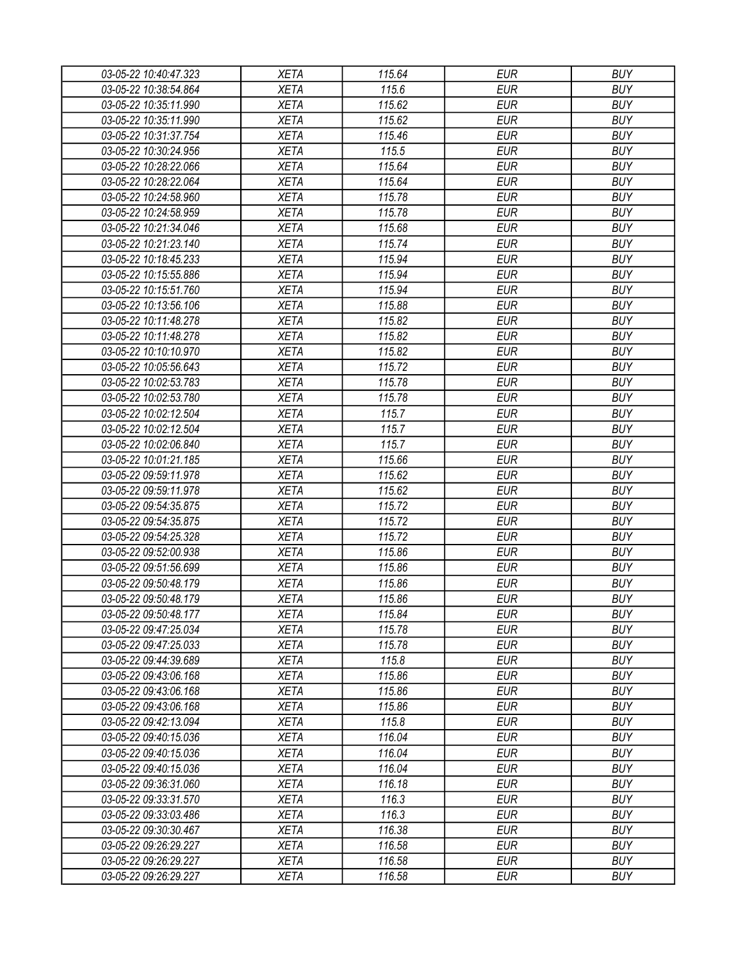| 03-05-22 10:40:47.323 | <b>XETA</b> | 115.64 | <b>EUR</b> | <b>BUY</b> |
|-----------------------|-------------|--------|------------|------------|
| 03-05-22 10:38:54.864 | <b>XETA</b> | 115.6  | <b>EUR</b> | <b>BUY</b> |
| 03-05-22 10:35:11.990 | <b>XETA</b> | 115.62 | <b>EUR</b> | <b>BUY</b> |
| 03-05-22 10:35:11.990 | <b>XETA</b> | 115.62 | <b>EUR</b> | <b>BUY</b> |
| 03-05-22 10:31:37.754 | <b>XETA</b> | 115.46 | <b>EUR</b> | <b>BUY</b> |
| 03-05-22 10:30:24.956 | <b>XETA</b> | 115.5  | <b>EUR</b> | <b>BUY</b> |
| 03-05-22 10:28:22.066 | <b>XETA</b> | 115.64 | <b>EUR</b> | <b>BUY</b> |
| 03-05-22 10:28:22.064 | <b>XETA</b> | 115.64 | <b>EUR</b> | <b>BUY</b> |
| 03-05-22 10:24:58.960 | <b>XETA</b> | 115.78 | <b>EUR</b> | <b>BUY</b> |
| 03-05-22 10:24:58.959 | <b>XETA</b> | 115.78 | <b>EUR</b> | <b>BUY</b> |
| 03-05-22 10:21:34.046 | <b>XETA</b> | 115.68 | <b>EUR</b> | <b>BUY</b> |
| 03-05-22 10:21:23.140 | <b>XETA</b> | 115.74 | <b>EUR</b> | <b>BUY</b> |
| 03-05-22 10:18:45.233 | <b>XETA</b> | 115.94 | <b>EUR</b> | <b>BUY</b> |
| 03-05-22 10:15:55.886 | <b>XETA</b> | 115.94 | <b>EUR</b> | <b>BUY</b> |
| 03-05-22 10:15:51.760 | <b>XETA</b> | 115.94 | <b>EUR</b> | <b>BUY</b> |
| 03-05-22 10:13:56.106 | <b>XETA</b> | 115.88 | <b>EUR</b> | <b>BUY</b> |
| 03-05-22 10:11:48.278 | <b>XETA</b> | 115.82 | <b>EUR</b> | <b>BUY</b> |
| 03-05-22 10:11:48.278 | <b>XETA</b> | 115.82 | <b>EUR</b> | <b>BUY</b> |
| 03-05-22 10:10:10.970 | <b>XETA</b> | 115.82 | <b>EUR</b> | <b>BUY</b> |
| 03-05-22 10:05:56.643 | <b>XETA</b> | 115.72 | <b>EUR</b> | <b>BUY</b> |
| 03-05-22 10:02:53.783 | <b>XETA</b> | 115.78 | <b>EUR</b> | <b>BUY</b> |
| 03-05-22 10:02:53.780 | <b>XETA</b> | 115.78 | <b>EUR</b> | <b>BUY</b> |
| 03-05-22 10:02:12.504 | <b>XETA</b> | 115.7  | <b>EUR</b> | <b>BUY</b> |
| 03-05-22 10:02:12.504 | <b>XETA</b> | 115.7  | <b>EUR</b> | <b>BUY</b> |
| 03-05-22 10:02:06.840 | <b>XETA</b> | 115.7  | <b>EUR</b> | <b>BUY</b> |
| 03-05-22 10:01:21.185 | <b>XETA</b> | 115.66 | <b>EUR</b> | <b>BUY</b> |
| 03-05-22 09:59:11.978 | <b>XETA</b> | 115.62 | <b>EUR</b> | <b>BUY</b> |
| 03-05-22 09:59:11.978 | <b>XETA</b> | 115.62 | <b>EUR</b> | <b>BUY</b> |
| 03-05-22 09:54:35.875 | <b>XETA</b> | 115.72 | <b>EUR</b> | <b>BUY</b> |
| 03-05-22 09:54:35.875 | <b>XETA</b> | 115.72 | <b>EUR</b> | <b>BUY</b> |
| 03-05-22 09:54:25.328 | <b>XETA</b> | 115.72 | <b>EUR</b> | <b>BUY</b> |
| 03-05-22 09:52:00.938 | <b>XETA</b> | 115.86 | <b>EUR</b> | <b>BUY</b> |
| 03-05-22 09:51:56.699 | <b>XETA</b> | 115.86 | <b>EUR</b> | <b>BUY</b> |
| 03-05-22 09:50:48.179 | <b>XETA</b> | 115.86 | <b>EUR</b> | <b>BUY</b> |
| 03-05-22 09:50:48.179 | <b>XETA</b> | 115.86 | <b>EUR</b> | <b>BUY</b> |
| 03-05-22 09:50:48.177 | <b>XETA</b> | 115.84 | <b>EUR</b> | <b>BUY</b> |
| 03-05-22 09:47:25.034 | <b>XETA</b> | 115.78 | <b>EUR</b> | <b>BUY</b> |
| 03-05-22 09:47:25.033 | <b>XETA</b> | 115.78 | <b>EUR</b> | <b>BUY</b> |
| 03-05-22 09:44:39.689 | <b>XETA</b> | 115.8  | <b>EUR</b> | <b>BUY</b> |
| 03-05-22 09:43:06.168 | <b>XETA</b> | 115.86 | <b>EUR</b> | <b>BUY</b> |
| 03-05-22 09:43:06.168 | XETA        | 115.86 | <b>EUR</b> | <b>BUY</b> |
| 03-05-22 09:43:06.168 | <b>XETA</b> | 115.86 | <b>EUR</b> | <b>BUY</b> |
| 03-05-22 09:42:13.094 | <b>XETA</b> | 115.8  | <b>EUR</b> | <b>BUY</b> |
| 03-05-22 09:40:15.036 | <b>XETA</b> | 116.04 | <b>EUR</b> | <b>BUY</b> |
| 03-05-22 09:40:15.036 | <b>XETA</b> | 116.04 | <b>EUR</b> | <b>BUY</b> |
| 03-05-22 09:40:15.036 | <b>XETA</b> | 116.04 | <b>EUR</b> | <b>BUY</b> |
| 03-05-22 09:36:31.060 | <b>XETA</b> | 116.18 | <b>EUR</b> | <b>BUY</b> |
| 03-05-22 09:33:31.570 | <b>XETA</b> | 116.3  | <b>EUR</b> | <b>BUY</b> |
| 03-05-22 09:33:03.486 | <b>XETA</b> | 116.3  | <b>EUR</b> | <b>BUY</b> |
| 03-05-22 09:30:30.467 | <b>XETA</b> | 116.38 | <b>EUR</b> | <b>BUY</b> |
| 03-05-22 09:26:29.227 | <b>XETA</b> | 116.58 | <b>EUR</b> | <b>BUY</b> |
| 03-05-22 09:26:29.227 | <b>XETA</b> | 116.58 | <b>EUR</b> | <b>BUY</b> |
| 03-05-22 09:26:29.227 | <b>XETA</b> | 116.58 | <b>EUR</b> | <b>BUY</b> |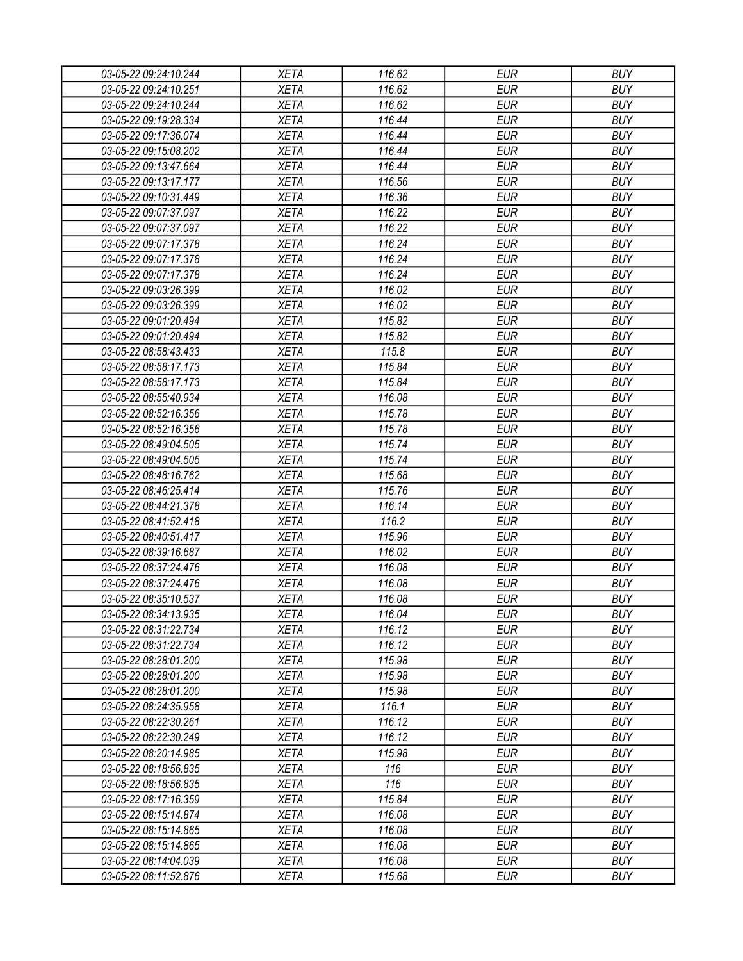| 03-05-22 09:24:10.244 | <b>XETA</b> | 116.62 | <b>EUR</b> | <b>BUY</b> |
|-----------------------|-------------|--------|------------|------------|
| 03-05-22 09:24:10.251 | <b>XETA</b> | 116.62 | <b>EUR</b> | <b>BUY</b> |
| 03-05-22 09:24:10.244 | <b>XETA</b> | 116.62 | <b>EUR</b> | <b>BUY</b> |
| 03-05-22 09:19:28.334 | <b>XETA</b> | 116.44 | <b>EUR</b> | <b>BUY</b> |
| 03-05-22 09:17:36.074 | <b>XETA</b> | 116.44 | <b>EUR</b> | <b>BUY</b> |
| 03-05-22 09:15:08.202 | <b>XETA</b> | 116.44 | <b>EUR</b> | <b>BUY</b> |
| 03-05-22 09:13:47.664 | <b>XETA</b> | 116.44 | <b>EUR</b> | <b>BUY</b> |
| 03-05-22 09:13:17.177 | <b>XETA</b> | 116.56 | <b>EUR</b> | <b>BUY</b> |
| 03-05-22 09:10:31.449 | <b>XETA</b> | 116.36 | <b>EUR</b> | <b>BUY</b> |
| 03-05-22 09:07:37.097 | <b>XETA</b> | 116.22 | <b>EUR</b> | <b>BUY</b> |
| 03-05-22 09:07:37.097 | <b>XETA</b> | 116.22 | <b>EUR</b> | <b>BUY</b> |
| 03-05-22 09:07:17.378 | <b>XETA</b> | 116.24 | <b>EUR</b> | <b>BUY</b> |
| 03-05-22 09:07:17.378 | <b>XETA</b> | 116.24 | <b>EUR</b> | <b>BUY</b> |
| 03-05-22 09:07:17.378 | <b>XETA</b> | 116.24 | <b>EUR</b> | <b>BUY</b> |
| 03-05-22 09:03:26.399 | <b>XETA</b> | 116.02 | <b>EUR</b> | <b>BUY</b> |
| 03-05-22 09:03:26.399 | <b>XETA</b> | 116.02 | <b>EUR</b> | <b>BUY</b> |
| 03-05-22 09:01:20.494 | <b>XETA</b> | 115.82 | <b>EUR</b> | <b>BUY</b> |
| 03-05-22 09:01:20.494 | <b>XETA</b> | 115.82 | <b>EUR</b> | <b>BUY</b> |
| 03-05-22 08:58:43.433 | <b>XETA</b> | 115.8  | <b>EUR</b> | <b>BUY</b> |
| 03-05-22 08:58:17.173 | <b>XETA</b> | 115.84 | <b>EUR</b> | <b>BUY</b> |
| 03-05-22 08:58:17.173 | <b>XETA</b> | 115.84 | <b>EUR</b> | <b>BUY</b> |
| 03-05-22 08:55:40.934 | <b>XETA</b> | 116.08 | <b>EUR</b> | <b>BUY</b> |
| 03-05-22 08:52:16.356 | <b>XETA</b> | 115.78 | <b>EUR</b> | <b>BUY</b> |
| 03-05-22 08:52:16.356 | <b>XETA</b> | 115.78 | <b>EUR</b> | <b>BUY</b> |
| 03-05-22 08:49:04.505 | <b>XETA</b> | 115.74 | <b>EUR</b> | <b>BUY</b> |
| 03-05-22 08:49:04.505 | <b>XETA</b> | 115.74 | <b>EUR</b> | <b>BUY</b> |
| 03-05-22 08:48:16.762 | <b>XETA</b> | 115.68 | <b>EUR</b> | <b>BUY</b> |
| 03-05-22 08:46:25.414 | <b>XETA</b> | 115.76 | <b>EUR</b> | <b>BUY</b> |
| 03-05-22 08:44:21.378 | <b>XETA</b> | 116.14 | <b>EUR</b> | <b>BUY</b> |
| 03-05-22 08:41:52.418 | <b>XETA</b> | 116.2  | <b>EUR</b> | <b>BUY</b> |
| 03-05-22 08:40:51.417 | <b>XETA</b> | 115.96 | <b>EUR</b> | <b>BUY</b> |
| 03-05-22 08:39:16.687 | <b>XETA</b> | 116.02 | <b>EUR</b> | <b>BUY</b> |
| 03-05-22 08:37:24.476 | <b>XETA</b> | 116.08 | <b>EUR</b> | <b>BUY</b> |
| 03-05-22 08:37:24.476 | <b>XETA</b> | 116.08 | <b>EUR</b> | <b>BUY</b> |
| 03-05-22 08:35:10.537 | <b>XETA</b> | 116.08 | <b>EUR</b> | <b>BUY</b> |
| 03-05-22 08:34:13.935 | <b>XETA</b> | 116.04 | <b>EUR</b> | <b>BUY</b> |
| 03-05-22 08:31:22.734 | <b>XETA</b> | 116.12 | <b>EUR</b> | <b>BUY</b> |
| 03-05-22 08:31:22.734 | <b>XETA</b> | 116.12 | <b>EUR</b> | <b>BUY</b> |
| 03-05-22 08:28:01.200 | <b>XETA</b> | 115.98 | <b>EUR</b> | <b>BUY</b> |
| 03-05-22 08:28:01.200 | <b>XETA</b> | 115.98 | <b>EUR</b> | <b>BUY</b> |
| 03-05-22 08:28:01.200 | XETA        | 115.98 | <b>EUR</b> | <b>BUY</b> |
| 03-05-22 08:24:35.958 | <b>XETA</b> | 116.1  | <b>EUR</b> | <b>BUY</b> |
| 03-05-22 08:22:30.261 | <b>XETA</b> | 116.12 | <b>EUR</b> | <b>BUY</b> |
| 03-05-22 08:22:30.249 | <b>XETA</b> | 116.12 | <b>EUR</b> | <b>BUY</b> |
| 03-05-22 08:20:14.985 | <b>XETA</b> | 115.98 | <b>EUR</b> | <b>BUY</b> |
| 03-05-22 08:18:56.835 | <b>XETA</b> | 116    | <b>EUR</b> | <b>BUY</b> |
| 03-05-22 08:18:56.835 | <b>XETA</b> | 116    | <b>EUR</b> | <b>BUY</b> |
| 03-05-22 08:17:16.359 | <b>XETA</b> | 115.84 | <b>EUR</b> | <b>BUY</b> |
| 03-05-22 08:15:14.874 | <b>XETA</b> | 116.08 | <b>EUR</b> | <b>BUY</b> |
| 03-05-22 08:15:14.865 | <b>XETA</b> | 116.08 | <b>EUR</b> | <b>BUY</b> |
| 03-05-22 08:15:14.865 | <b>XETA</b> | 116.08 | <b>EUR</b> | <b>BUY</b> |
| 03-05-22 08:14:04.039 | <b>XETA</b> | 116.08 | <b>EUR</b> | <b>BUY</b> |
| 03-05-22 08:11:52.876 | XETA        | 115.68 | <b>EUR</b> | <b>BUY</b> |
|                       |             |        |            |            |